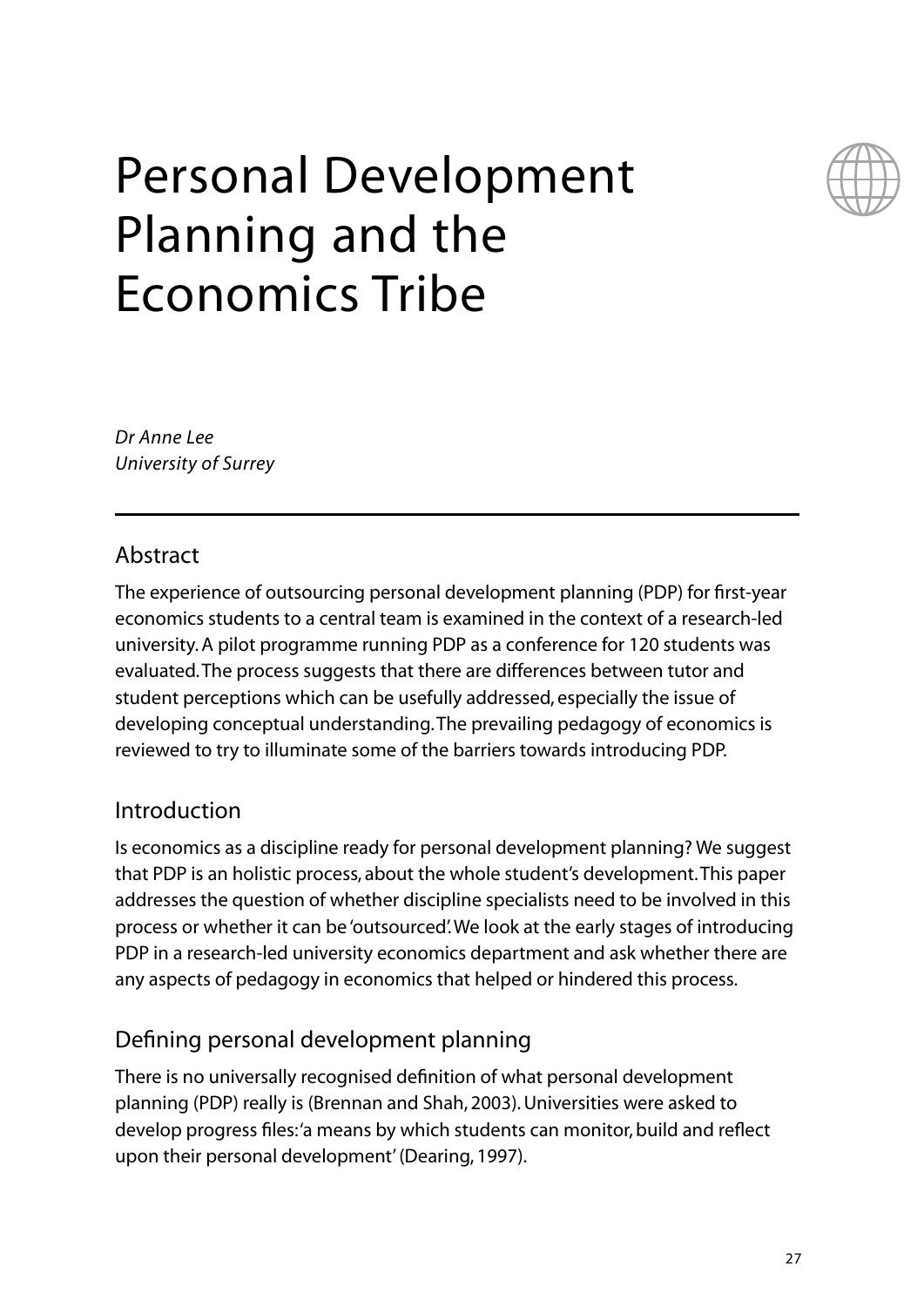

# Personal Development Planning and the Economics Tribe

*Dr Anne Lee University of Surrey*

# Abstract

The experience of outsourcing personal development planning (PDP) for first-year economics students to a central team is examined in the context of a research-led university. A pilot programme running PDP as a conference for 120 students was evaluated.The process suggests that there are differences between tutor and student perceptions which can be usefully addressed, especially the issue of developing conceptual understanding.The prevailing pedagogy of economics is reviewed to try to illuminate some of the barriers towards introducing PDP.

# Introduction

Is economics as a discipline ready for personal development planning? We suggest that PDP is an holistic process, about the whole student's development.This paper addresses the question of whether discipline specialists need to be involved in this process or whether it can be 'outsourced'.We look at the early stages of introducing PDP in a research-led university economics department and ask whether there are any aspects of pedagogy in economics that helped or hindered this process.

# Defining personal development planning

There is no universally recognised definition of what personal development planning (PDP) really is (Brennan and Shah, 2003). Universities were asked to develop progress files:'a means by which students can monitor, build and reflect upon their personal development' (Dearing, 1997).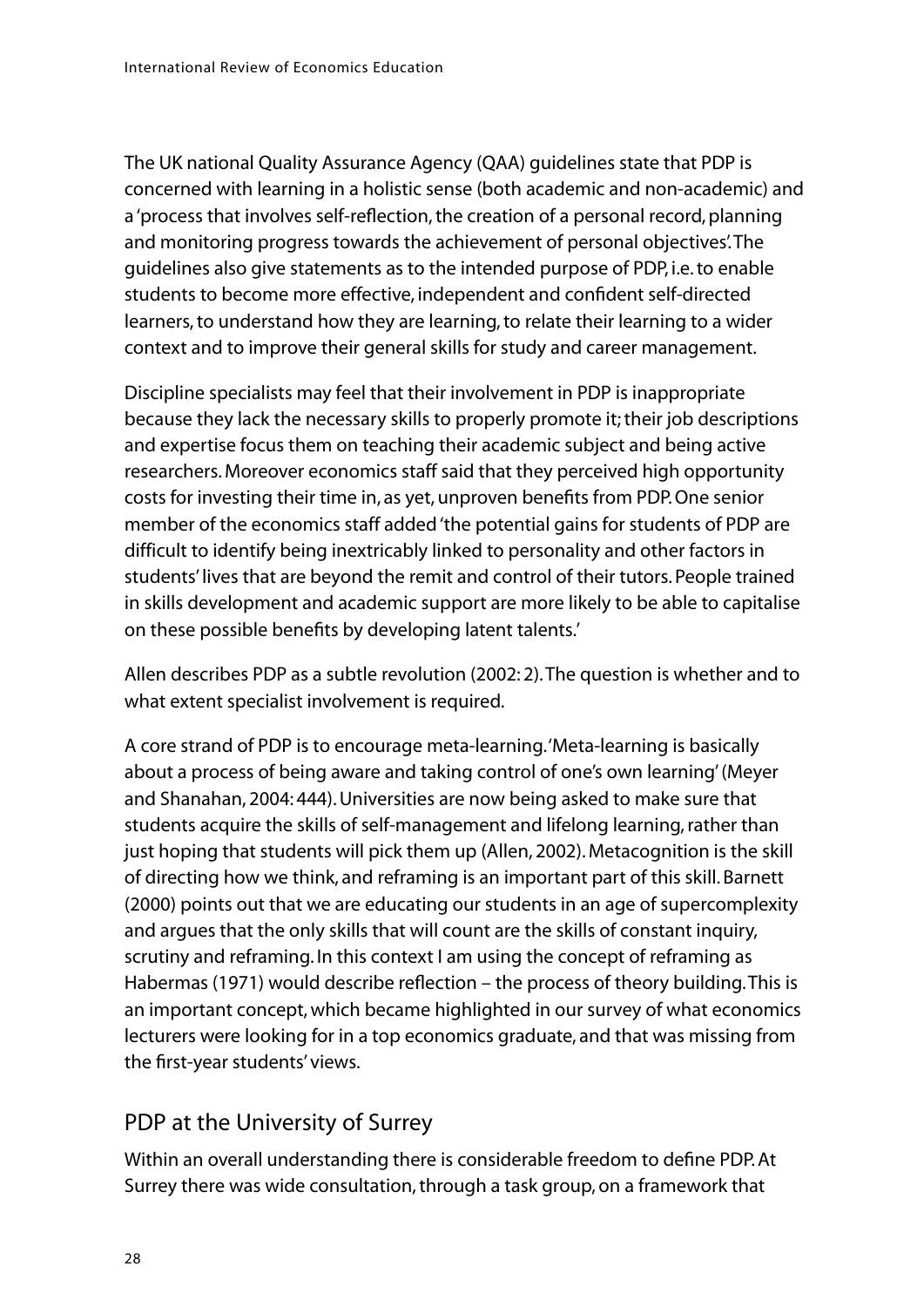The UK national Quality Assurance Agency (QAA) guidelines state that PDP is concerned with learning in a holistic sense (both academic and non-academic) and a 'process that involves self-reflection, the creation of a personal record, planning and monitoring progress towards the achievement of personal objectives'.The guidelines also give statements as to the intended purpose of PDP, i.e. to enable students to become more effective, independent and confident self-directed learners, to understand how they are learning, to relate their learning to a wider context and to improve their general skills for study and career management.

Discipline specialists may feel that their involvement in PDP is inappropriate because they lack the necessary skills to properly promote it; their job descriptions and expertise focus them on teaching their academic subject and being active researchers. Moreover economics staff said that they perceived high opportunity costs for investing their time in, as yet, unproven benefits from PDP. One senior member of the economics staff added 'the potential gains for students of PDP are difficult to identify being inextricably linked to personality and other factors in students' lives that are beyond the remit and control of their tutors. People trained in skills development and academic support are more likely to be able to capitalise on these possible benefits by developing latent talents.'

Allen describes PDP as a subtle revolution (2002: 2).The question is whether and to what extent specialist involvement is required.

A core strand of PDP is to encourage meta-learning.'Meta-learning is basically about a process of being aware and taking control of one's own learning' (Meyer and Shanahan, 2004: 444). Universities are now being asked to make sure that students acquire the skills of self-management and lifelong learning, rather than just hoping that students will pick them up (Allen, 2002). Metacognition is the skill of directing how we think, and reframing is an important part of this skill. Barnett (2000) points out that we are educating our students in an age of supercomplexity and argues that the only skills that will count are the skills of constant inquiry, scrutiny and reframing. In this context I am using the concept of reframing as Habermas (1971) would describe reflection – the process of theory building.This is an important concept, which became highlighted in our survey of what economics lecturers were looking for in a top economics graduate, and that was missing from the first-year students' views.

# PDP at the University of Surrey

Within an overall understanding there is considerable freedom to define PDP. At Surrey there was wide consultation, through a task group, on a framework that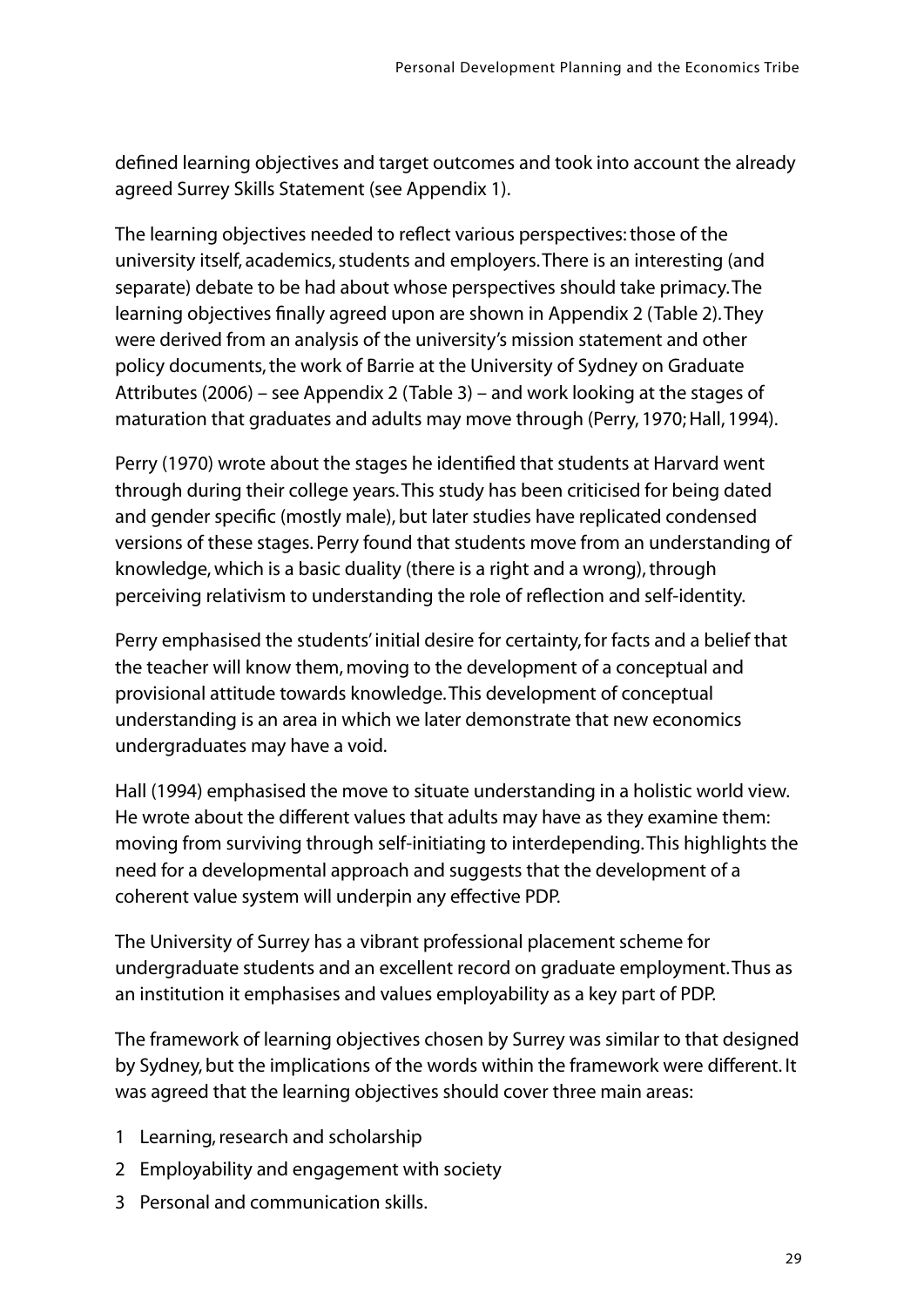defined learning objectives and target outcomes and took into account the already agreed Surrey Skills Statement (see Appendix 1).

The learning objectives needed to reflect various perspectives: those of the university itself, academics, students and employers.There is an interesting (and separate) debate to be had about whose perspectives should take primacy.The learning objectives finally agreed upon are shown in Appendix 2 (Table 2).They were derived from an analysis of the university's mission statement and other policy documents, the work of Barrie at the University of Sydney on Graduate Attributes (2006) – see Appendix 2 (Table 3) – and work looking at the stages of maturation that graduates and adults may move through (Perry, 1970; Hall, 1994).

Perry (1970) wrote about the stages he identified that students at Harvard went through during their college years.This study has been criticised for being dated and gender specific (mostly male), but later studies have replicated condensed versions of these stages. Perry found that students move from an understanding of knowledge, which is a basic duality (there is a right and a wrong), through perceiving relativism to understanding the role of reflection and self-identity.

Perry emphasised the students' initial desire for certainty, for facts and a belief that the teacher will know them, moving to the development of a conceptual and provisional attitude towards knowledge.This development of conceptual understanding is an area in which we later demonstrate that new economics undergraduates may have a void.

Hall (1994) emphasised the move to situate understanding in a holistic world view. He wrote about the different values that adults may have as they examine them: moving from surviving through self-initiating to interdepending.This highlights the need for a developmental approach and suggests that the development of a coherent value system will underpin any effective PDP.

The University of Surrey has a vibrant professional placement scheme for undergraduate students and an excellent record on graduate employment.Thus as an institution it emphasises and values employability as a key part of PDP.

The framework of learning objectives chosen by Surrey was similar to that designed by Sydney, but the implications of the words within the framework were different. It was agreed that the learning objectives should cover three main areas:

- 1 Learning, research and scholarship
- 2 Employability and engagement with society
- 3 Personal and communication skills.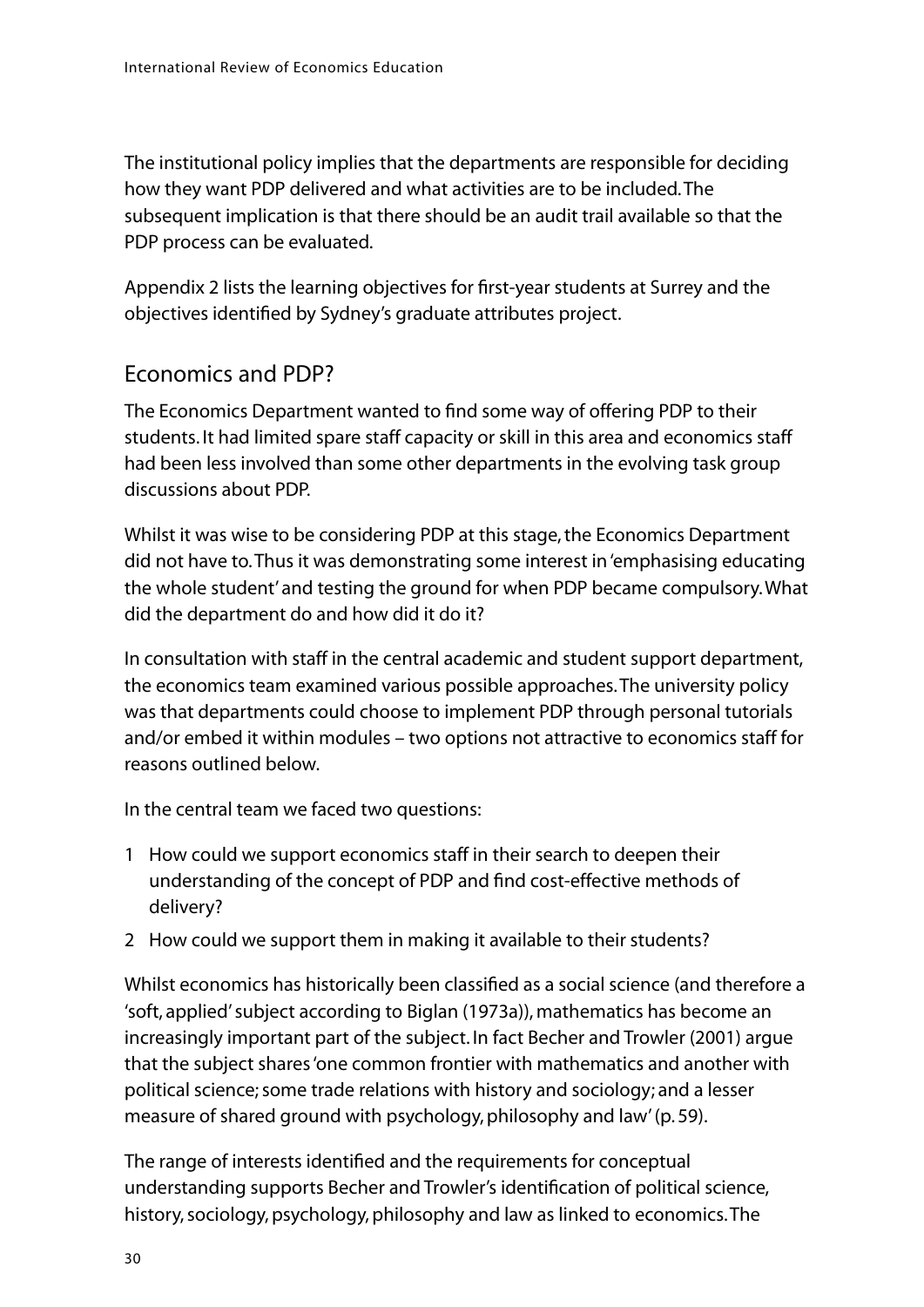The institutional policy implies that the departments are responsible for deciding how they want PDP delivered and what activities are to be included.The subsequent implication is that there should be an audit trail available so that the PDP process can be evaluated.

Appendix 2 lists the learning objectives for first-year students at Surrey and the objectives identified by Sydney's graduate attributes project.

# Economics and PDP?

The Economics Department wanted to find some way of offering PDP to their students. It had limited spare staff capacity or skill in this area and economics staff had been less involved than some other departments in the evolving task group discussions about PDP.

Whilst it was wise to be considering PDP at this stage, the Economics Department did not have to.Thus it was demonstrating some interest in 'emphasising educating the whole student' and testing the ground for when PDP became compulsory.What did the department do and how did it do it?

In consultation with staff in the central academic and student support department, the economics team examined various possible approaches.The university policy was that departments could choose to implement PDP through personal tutorials and/or embed it within modules – two options not attractive to economics staff for reasons outlined below.

In the central team we faced two questions:

- 1 How could we support economics staff in their search to deepen their understanding of the concept of PDP and find cost-effective methods of delivery?
- 2 How could we support them in making it available to their students?

Whilst economics has historically been classified as a social science (and therefore a 'soft, applied' subject according to Biglan (1973a)), mathematics has become an increasingly important part of the subject. In fact Becher and Trowler (2001) argue that the subject shares 'one common frontier with mathematics and another with political science; some trade relations with history and sociology; and a lesser measure of shared ground with psychology, philosophy and law' (p. 59).

The range of interests identified and the requirements for conceptual understanding supports Becher and Trowler's identification of political science, history, sociology, psychology, philosophy and law as linked to economics.The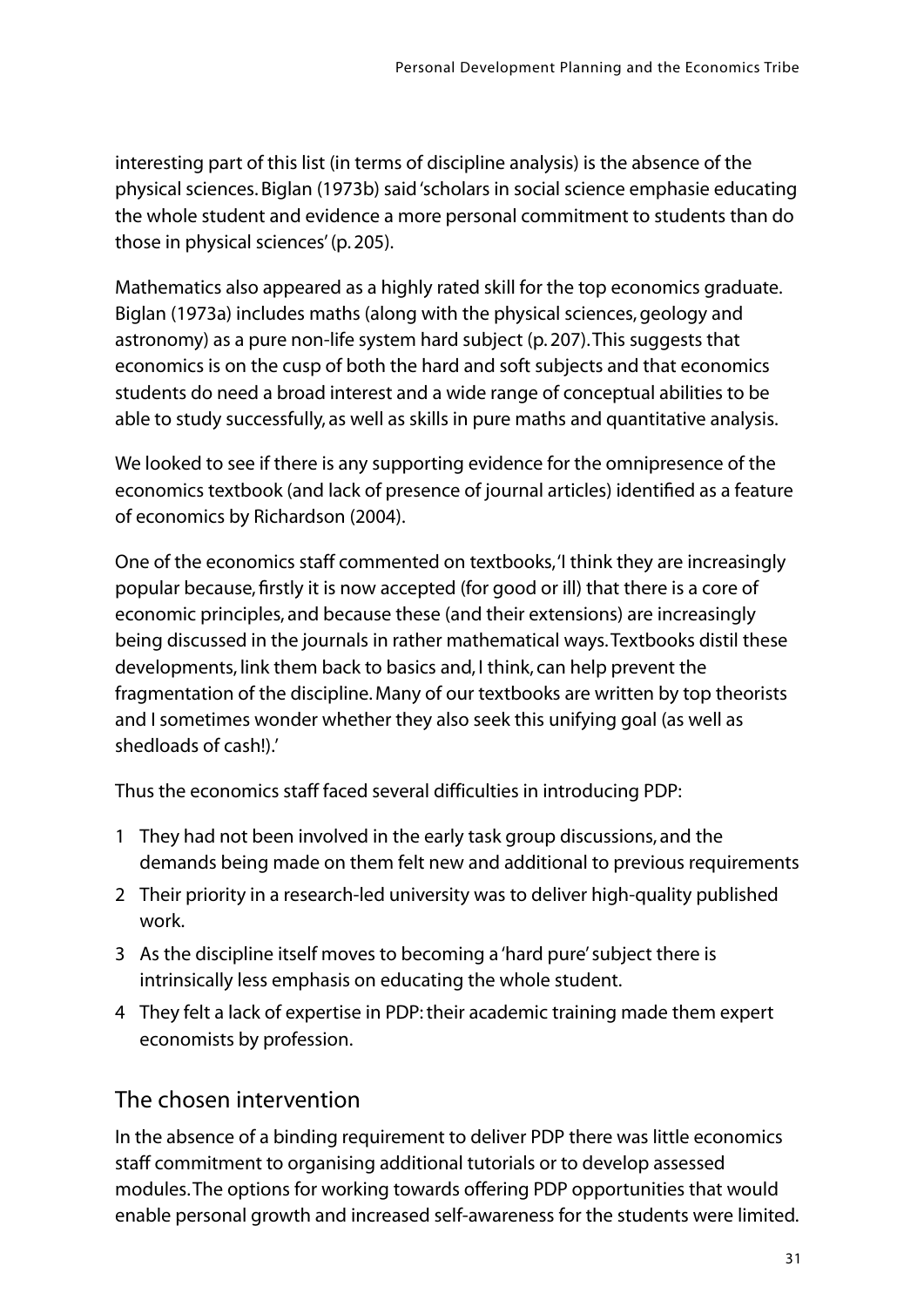interesting part of this list (in terms of discipline analysis) is the absence of the physical sciences. Biglan (1973b) said 'scholars in social science emphasie educating the whole student and evidence a more personal commitment to students than do those in physical sciences' (p. 205).

Mathematics also appeared as a highly rated skill for the top economics graduate. Biglan (1973a) includes maths (along with the physical sciences, geology and astronomy) as a pure non-life system hard subiect (p. 207). This suggests that economics is on the cusp of both the hard and soft subjects and that economics students do need a broad interest and a wide range of conceptual abilities to be able to study successfully, as well as skills in pure maths and quantitative analysis.

We looked to see if there is any supporting evidence for the omnipresence of the economics textbook (and lack of presence of journal articles) identified as a feature of economics by Richardson (2004).

One of the economics staff commented on textbooks,'I think they are increasingly popular because, firstly it is now accepted (for good or ill) that there is a core of economic principles, and because these (and their extensions) are increasingly being discussed in the journals in rather mathematical ways.Textbooks distil these developments, link them back to basics and, I think, can help prevent the fragmentation of the discipline. Many of our textbooks are written by top theorists and I sometimes wonder whether they also seek this unifying goal (as well as shedloads of cash!).'

Thus the economics staff faced several difficulties in introducing PDP:

- 1 They had not been involved in the early task group discussions, and the demands being made on them felt new and additional to previous requirements
- 2 Their priority in a research-led university was to deliver high-quality published work.
- 3 As the discipline itself moves to becoming a 'hard pure' subject there is intrinsically less emphasis on educating the whole student.
- 4 They felt a lack of expertise in PDP: their academic training made them expert economists by profession.

# The chosen intervention

In the absence of a binding requirement to deliver PDP there was little economics staff commitment to organising additional tutorials or to develop assessed modules.The options for working towards offering PDP opportunities that would enable personal growth and increased self-awareness for the students were limited.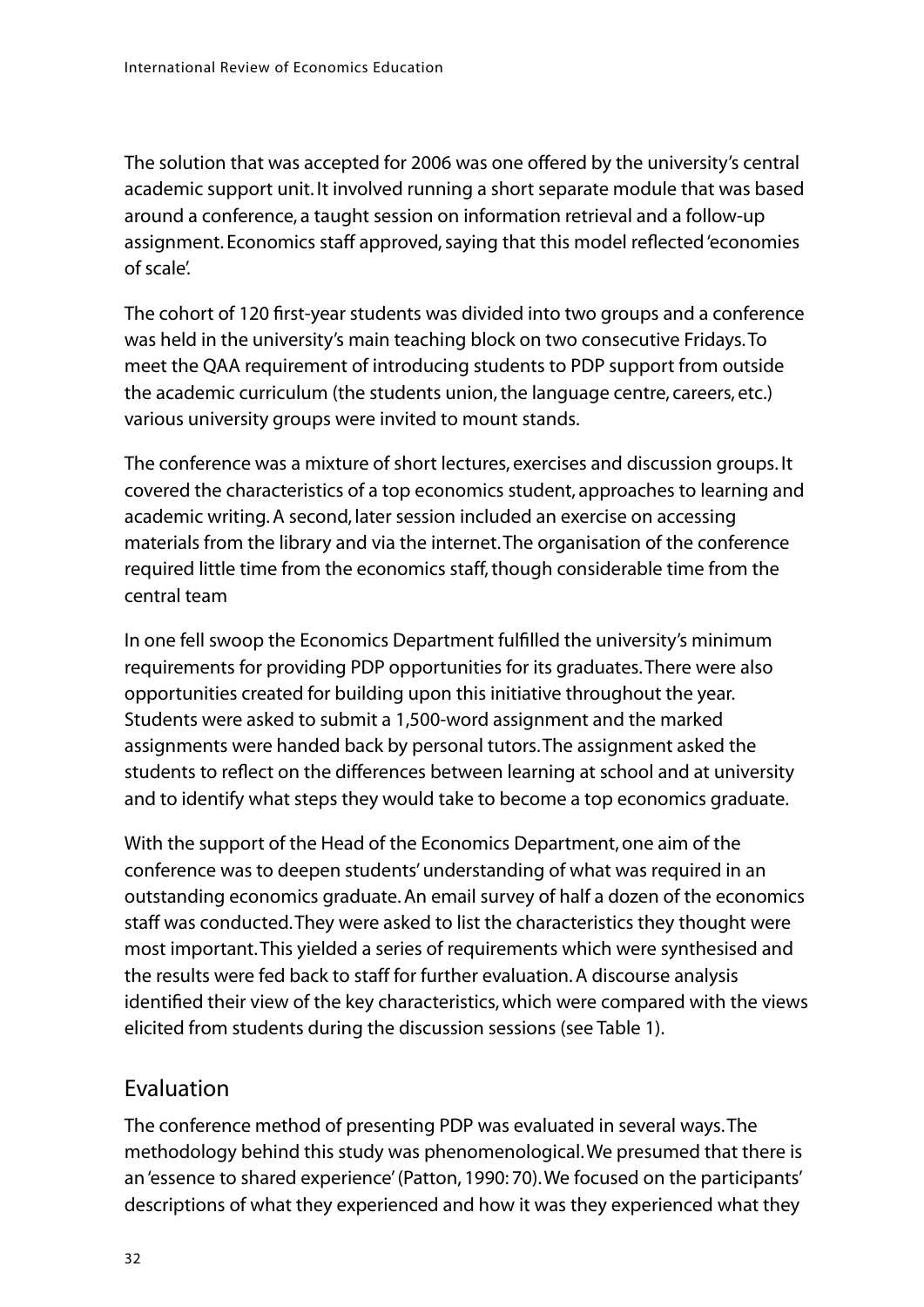The solution that was accepted for 2006 was one offered by the university's central academic support unit. It involved running a short separate module that was based around a conference, a taught session on information retrieval and a follow-up assignment. Economics staff approved, saying that this model reflected 'economies of scale'.

The cohort of 120 first-year students was divided into two groups and a conference was held in the university's main teaching block on two consecutive Fridays.To meet the QAA requirement of introducing students to PDP support from outside the academic curriculum (the students union, the language centre, careers, etc.) various university groups were invited to mount stands.

The conference was a mixture of short lectures, exercises and discussion groups. It covered the characteristics of a top economics student, approaches to learning and academic writing. A second, later session included an exercise on accessing materials from the library and via the internet.The organisation of the conference required little time from the economics staff, though considerable time from the central team

In one fell swoop the Economics Department fulfilled the university's minimum requirements for providing PDP opportunities for its graduates.There were also opportunities created for building upon this initiative throughout the year. Students were asked to submit a 1,500-word assignment and the marked assignments were handed back by personal tutors.The assignment asked the students to reflect on the differences between learning at school and at university and to identify what steps they would take to become a top economics graduate.

With the support of the Head of the Economics Department, one aim of the conference was to deepen students' understanding of what was required in an outstanding economics graduate. An email survey of half a dozen of the economics staff was conducted.They were asked to list the characteristics they thought were most important.This yielded a series of requirements which were synthesised and the results were fed back to staff for further evaluation. A discourse analysis identified their view of the key characteristics, which were compared with the views elicited from students during the discussion sessions (see Table 1).

# Evaluation

The conference method of presenting PDP was evaluated in several ways.The methodology behind this study was phenomenological.We presumed that there is an 'essence to shared experience' (Patton, 1990: 70).We focused on the participants' descriptions of what they experienced and how it was they experienced what they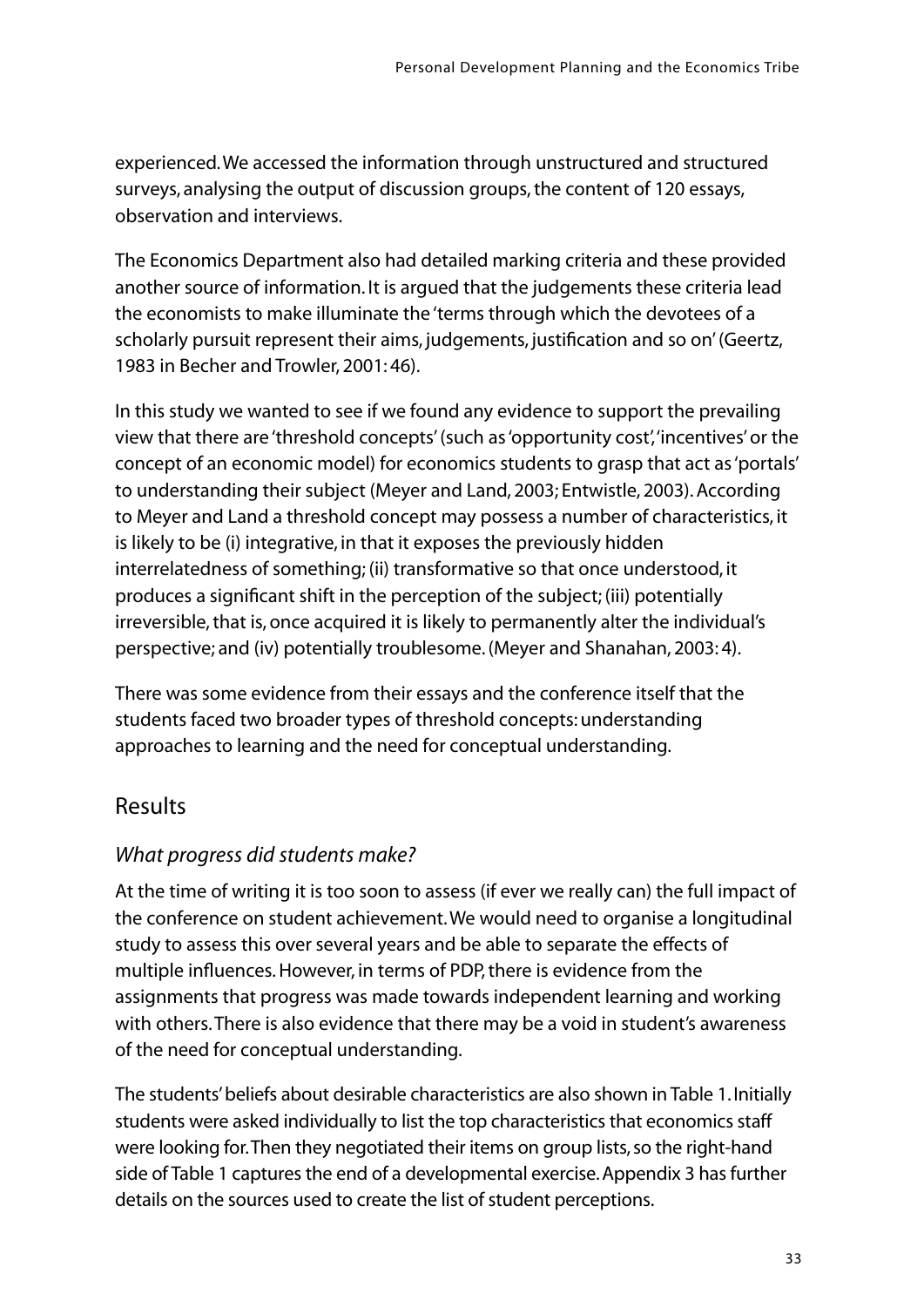experienced.We accessed the information through unstructured and structured surveys, analysing the output of discussion groups, the content of 120 essays, observation and interviews.

The Economics Department also had detailed marking criteria and these provided another source of information. It is argued that the judgements these criteria lead the economists to make illuminate the 'terms through which the devotees of a scholarly pursuit represent their aims, judgements, justification and so on' (Geertz, 1983 in Becher and Trowler, 2001: 46).

In this study we wanted to see if we found any evidence to support the prevailing view that there are 'threshold concepts' (such as 'opportunity cost','incentives' or the concept of an economic model) for economics students to grasp that act as 'portals' to understanding their subject (Meyer and Land, 2003; Entwistle, 2003). According to Meyer and Land a threshold concept may possess a number of characteristics, it is likely to be (i) integrative, in that it exposes the previously hidden interrelatedness of something; (ii) transformative so that once understood, it produces a significant shift in the perception of the subject; (iii) potentially irreversible, that is, once acquired it is likely to permanently alter the individual's perspective; and (iv) potentially troublesome. (Meyer and Shanahan, 2003: 4).

There was some evidence from their essays and the conference itself that the students faced two broader types of threshold concepts: understanding approaches to learning and the need for conceptual understanding.

# Results

## *What progress did students make?*

At the time of writing it is too soon to assess (if ever we really can) the full impact of the conference on student achievement.We would need to organise a longitudinal study to assess this over several years and be able to separate the effects of multiple influences. However, in terms of PDP, there is evidence from the assignments that progress was made towards independent learning and working with others.There is also evidence that there may be a void in student's awareness of the need for conceptual understanding.

The students' beliefs about desirable characteristics are also shown in Table 1. Initially students were asked individually to list the top characteristics that economics staff were looking for.Then they negotiated their items on group lists, so the right-hand side of Table 1 captures the end of a developmental exercise. Appendix 3 has further details on the sources used to create the list of student perceptions.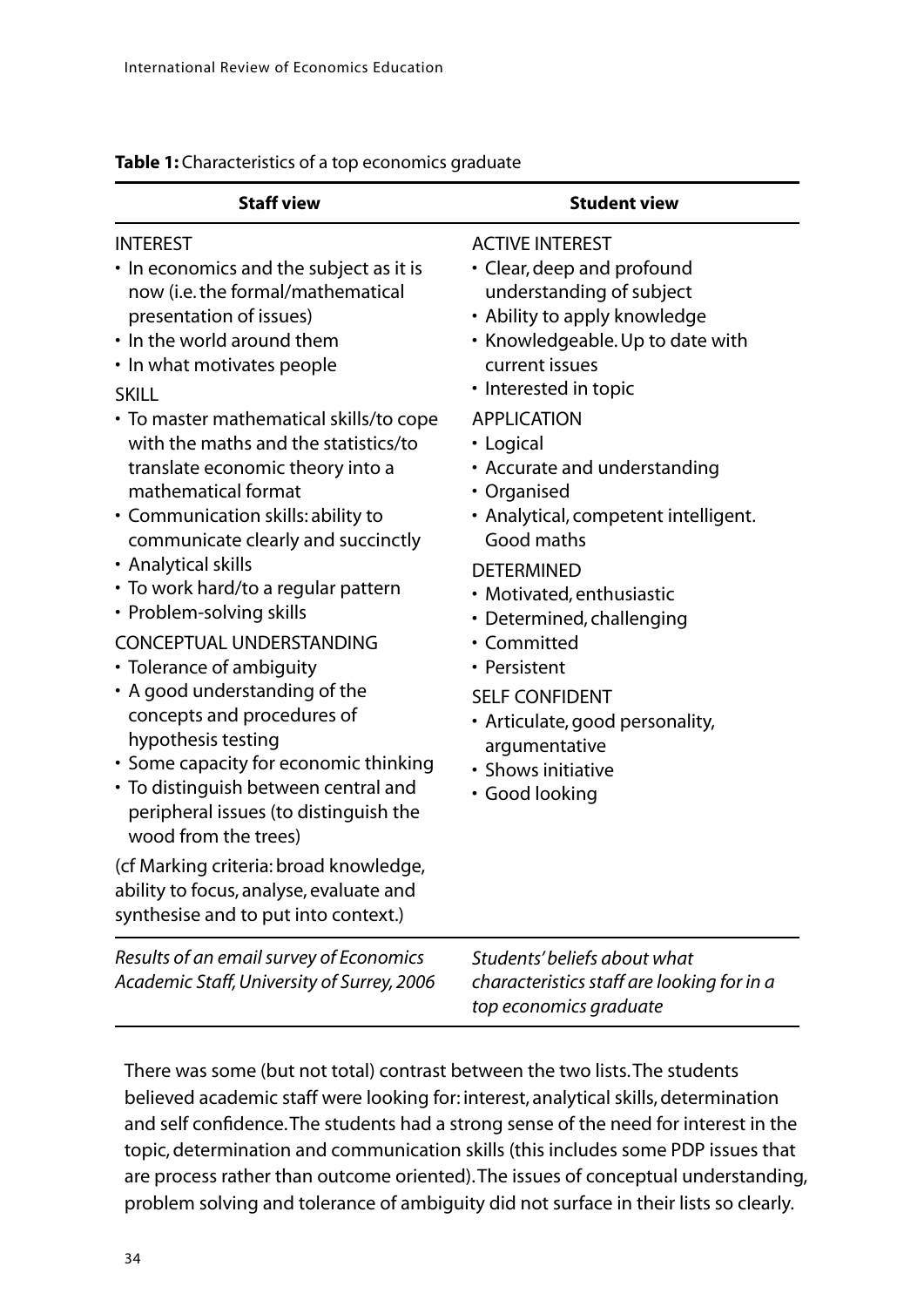| <b>Staff view</b>                                                                                                                                                                                                                                                                                                                                                                                                                                                                                                                                                                                                                                                                                                                                                                                                                                                                                                                                      | <b>Student view</b>                                                                                                                                                                                                                                                                                                                                                                                                                                                                                                                                          |
|--------------------------------------------------------------------------------------------------------------------------------------------------------------------------------------------------------------------------------------------------------------------------------------------------------------------------------------------------------------------------------------------------------------------------------------------------------------------------------------------------------------------------------------------------------------------------------------------------------------------------------------------------------------------------------------------------------------------------------------------------------------------------------------------------------------------------------------------------------------------------------------------------------------------------------------------------------|--------------------------------------------------------------------------------------------------------------------------------------------------------------------------------------------------------------------------------------------------------------------------------------------------------------------------------------------------------------------------------------------------------------------------------------------------------------------------------------------------------------------------------------------------------------|
| <b>INTEREST</b><br>• In economics and the subject as it is<br>now (i.e. the formal/mathematical<br>presentation of issues)<br>. In the world around them<br>• In what motivates people<br><b>SKILL</b><br>• To master mathematical skills/to cope<br>with the maths and the statistics/to<br>translate economic theory into a<br>mathematical format<br>• Communication skills: ability to<br>communicate clearly and succinctly<br>• Analytical skills<br>· To work hard/to a regular pattern<br>• Problem-solving skills<br>CONCEPTUAL UNDERSTANDING<br>• Tolerance of ambiguity<br>• A good understanding of the<br>concepts and procedures of<br>hypothesis testing<br>• Some capacity for economic thinking<br>· To distinguish between central and<br>peripheral issues (to distinguish the<br>wood from the trees)<br>(cf Marking criteria: broad knowledge,<br>ability to focus, analyse, evaluate and<br>synthesise and to put into context.) | ACTIVE INTEREST<br>• Clear, deep and profound<br>understanding of subject<br>• Ability to apply knowledge<br>• Knowledgeable. Up to date with<br>current issues<br>• Interested in topic<br><b>APPLICATION</b><br>• Logical<br>• Accurate and understanding<br>• Organised<br>· Analytical, competent intelligent.<br>Good maths<br>DFTFRMINFD<br>• Motivated, enthusiastic<br>• Determined, challenging<br>• Committed<br>• Persistent<br><b>SELF CONFIDENT</b><br>• Articulate, good personality,<br>argumentative<br>• Shows initiative<br>· Good looking |
| Results of an email survey of Economics<br>Academic Staff, University of Surrey, 2006                                                                                                                                                                                                                                                                                                                                                                                                                                                                                                                                                                                                                                                                                                                                                                                                                                                                  | Students' beliefs about what<br>characteristics staff are looking for in a<br>top economics graduate                                                                                                                                                                                                                                                                                                                                                                                                                                                         |

**Table 1:** Characteristics of a top economics graduate

There was some (but not total) contrast between the two lists.The students believed academic staff were looking for: interest, analytical skills, determination and self confidence.The students had a strong sense of the need for interest in the topic, determination and communication skills (this includes some PDP issues that are process rather than outcome oriented).The issues of conceptual understanding, problem solving and tolerance of ambiguity did not surface in their lists so clearly.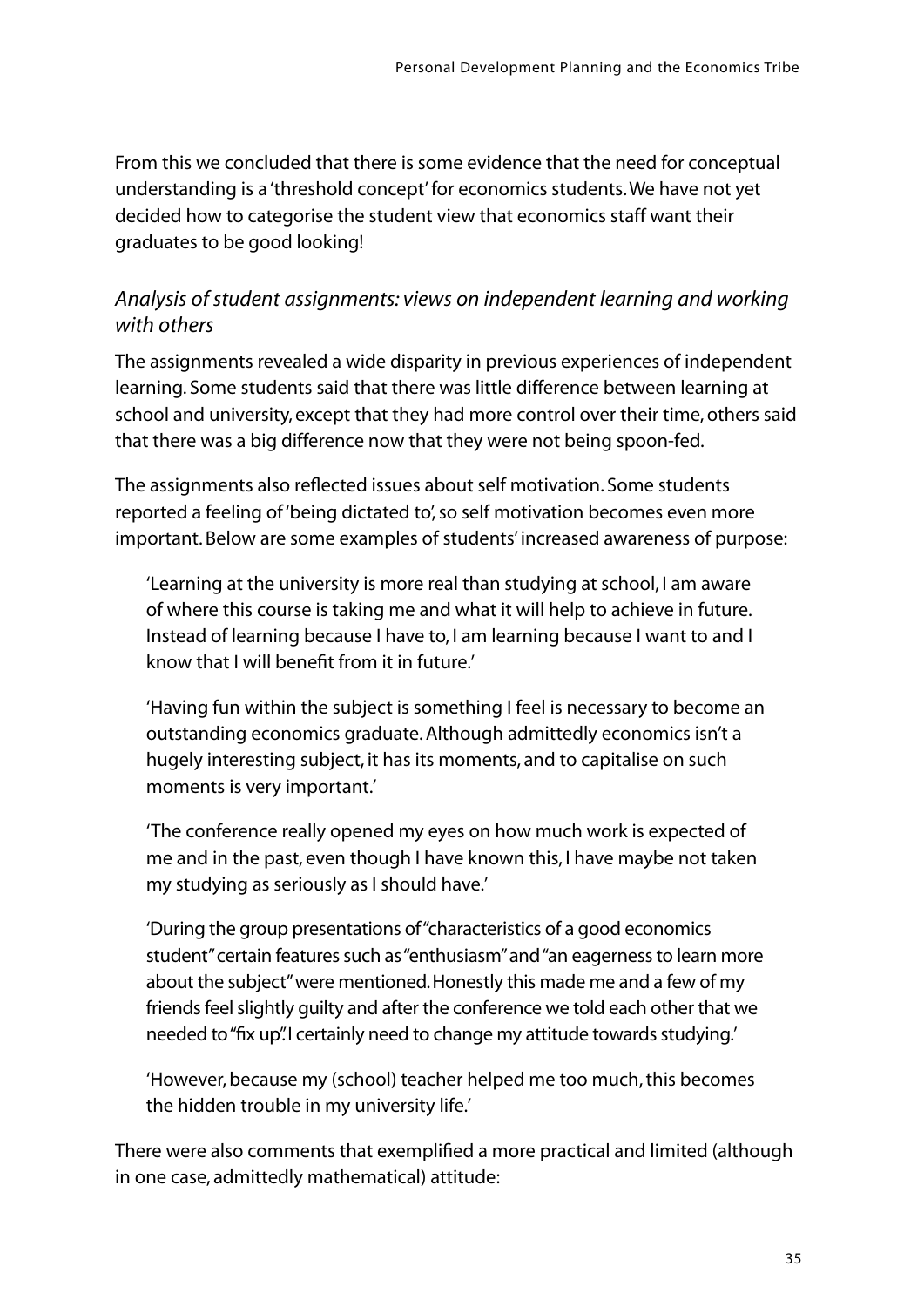From this we concluded that there is some evidence that the need for conceptual understanding is a 'threshold concept' for economics students.We have not yet decided how to categorise the student view that economics staff want their graduates to be good looking!

## *Analysis of student assignments: views on independent learning and working with others*

The assignments revealed a wide disparity in previous experiences of independent learning. Some students said that there was little difference between learning at school and university, except that they had more control over their time, others said that there was a big difference now that they were not being spoon-fed.

The assignments also reflected issues about self motivation. Some students reported a feeling of 'being dictated to', so self motivation becomes even more important. Below are some examples of students' increased awareness of purpose:

'Learning at the university is more real than studying at school, I am aware of where this course is taking me and what it will help to achieve in future. Instead of learning because I have to, I am learning because I want to and I know that I will benefit from it in future.'

'Having fun within the subject is something I feel is necessary to become an outstanding economics graduate. Although admittedly economics isn't a hugely interesting subject, it has its moments, and to capitalise on such moments is very important.'

'The conference really opened my eyes on how much work is expected of me and in the past, even though I have known this, I have maybe not taken my studying as seriously as I should have.'

'During the group presentations of "characteristics of a good economics student"certain features such as "enthusiasm"and "an eagerness to learn more about the subject"were mentioned. Honestly this made me and a few of my friends feel slightly guilty and after the conference we told each other that we needed to "fix up". I certainly need to change my attitude towards studying.'

'However, because my (school) teacher helped me too much, this becomes the hidden trouble in my university life.'

There were also comments that exemplified a more practical and limited (although in one case, admittedly mathematical) attitude: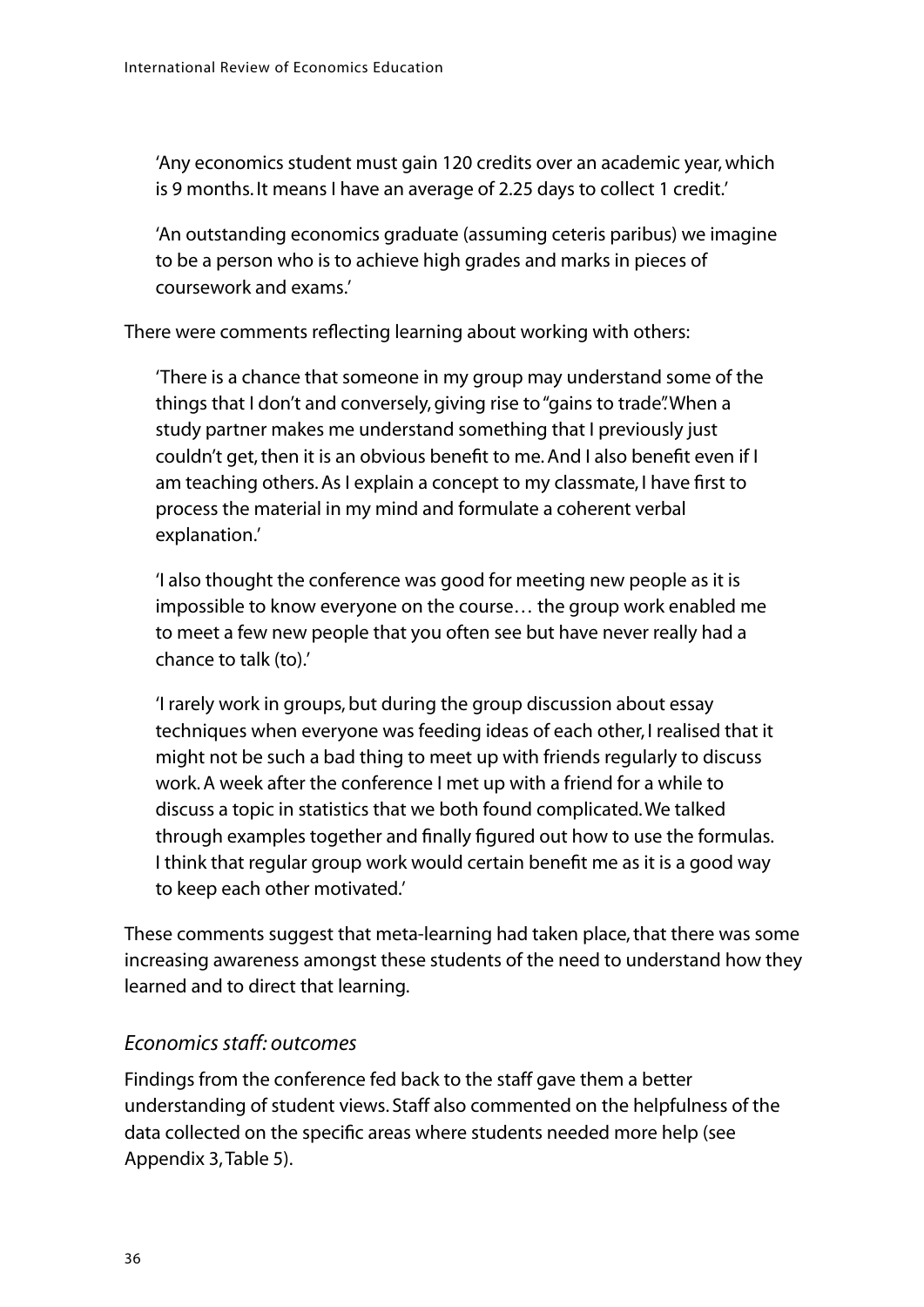'Any economics student must gain 120 credits over an academic year, which is 9 months. It means I have an average of 2.25 days to collect 1 credit.'

'An outstanding economics graduate (assuming ceteris paribus) we imagine to be a person who is to achieve high grades and marks in pieces of coursework and exams.'

There were comments reflecting learning about working with others:

'There is a chance that someone in my group may understand some of the things that I don't and conversely, giving rise to "gains to trade".When a study partner makes me understand something that I previously just couldn't get, then it is an obvious benefit to me. And I also benefit even if I am teaching others. As I explain a concept to my classmate, I have first to process the material in my mind and formulate a coherent verbal explanation.'

'I also thought the conference was good for meeting new people as it is impossible to know everyone on the course… the group work enabled me to meet a few new people that you often see but have never really had a chance to talk (to).'

'I rarely work in groups, but during the group discussion about essay techniques when everyone was feeding ideas of each other, I realised that it might not be such a bad thing to meet up with friends regularly to discuss work. A week after the conference I met up with a friend for a while to discuss a topic in statistics that we both found complicated.We talked through examples together and finally figured out how to use the formulas. I think that regular group work would certain benefit me as it is a good way to keep each other motivated.'

These comments suggest that meta-learning had taken place, that there was some increasing awareness amongst these students of the need to understand how they learned and to direct that learning.

#### *Economics staff: outcomes*

Findings from the conference fed back to the staff gave them a better understanding of student views. Staff also commented on the helpfulness of the data collected on the specific areas where students needed more help (see Appendix 3,Table 5).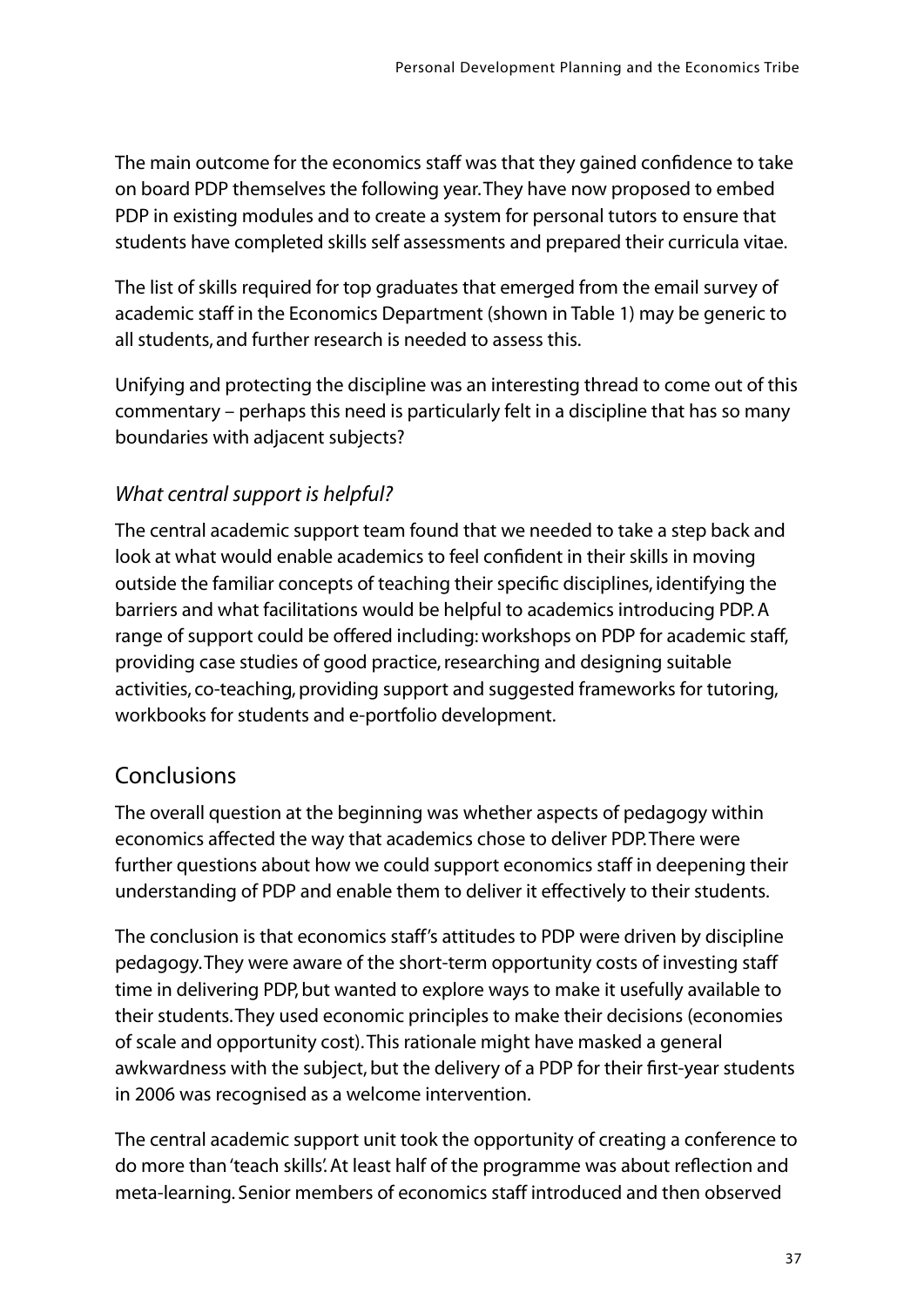The main outcome for the economics staff was that they gained confidence to take on board PDP themselves the following year.They have now proposed to embed PDP in existing modules and to create a system for personal tutors to ensure that students have completed skills self assessments and prepared their curricula vitae.

The list of skills required for top graduates that emerged from the email survey of academic staff in the Economics Department (shown in Table 1) may be generic to all students, and further research is needed to assess this.

Unifying and protecting the discipline was an interesting thread to come out of this commentary – perhaps this need is particularly felt in a discipline that has so many boundaries with adjacent subjects?

## *What central support is helpful?*

The central academic support team found that we needed to take a step back and look at what would enable academics to feel confident in their skills in moving outside the familiar concepts of teaching their specific disciplines, identifying the barriers and what facilitations would be helpful to academics introducing PDP. A range of support could be offered including: workshops on PDP for academic staff, providing case studies of good practice, researching and designing suitable activities, co-teaching, providing support and suggested frameworks for tutoring, workbooks for students and e-portfolio development.

# Conclusions

The overall question at the beginning was whether aspects of pedagogy within economics affected the way that academics chose to deliver PDP.There were further questions about how we could support economics staff in deepening their understanding of PDP and enable them to deliver it effectively to their students.

The conclusion is that economics staff's attitudes to PDP were driven by discipline pedagogy.They were aware of the short-term opportunity costs of investing staff time in delivering PDP, but wanted to explore ways to make it usefully available to their students.They used economic principles to make their decisions (economies of scale and opportunity cost).This rationale might have masked a general awkwardness with the subject, but the delivery of a PDP for their first-year students in 2006 was recognised as a welcome intervention.

The central academic support unit took the opportunity of creating a conference to do more than 'teach skills'. At least half of the programme was about reflection and meta-learning. Senior members of economics staff introduced and then observed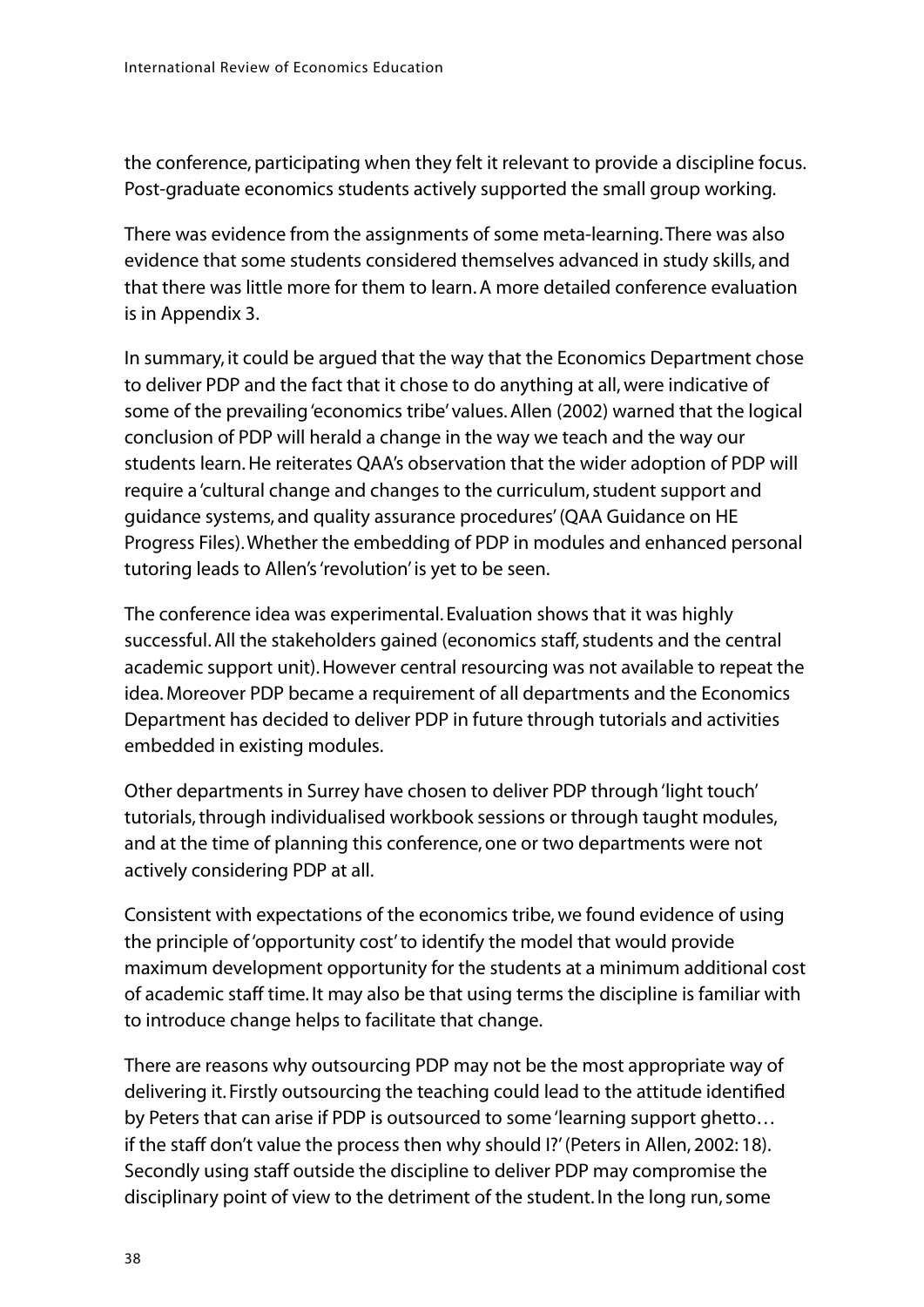the conference, participating when they felt it relevant to provide a discipline focus. Post-graduate economics students actively supported the small group working.

There was evidence from the assignments of some meta-learning.There was also evidence that some students considered themselves advanced in study skills, and that there was little more for them to learn. A more detailed conference evaluation is in Appendix 3.

In summary, it could be argued that the way that the Economics Department chose to deliver PDP and the fact that it chose to do anything at all, were indicative of some of the prevailing 'economics tribe' values. Allen (2002) warned that the logical conclusion of PDP will herald a change in the way we teach and the way our students learn. He reiterates QAA's observation that the wider adoption of PDP will require a 'cultural change and changes to the curriculum, student support and guidance systems, and quality assurance procedures' (QAA Guidance on HE Progress Files).Whether the embedding of PDP in modules and enhanced personal tutoring leads to Allen's 'revolution' is yet to be seen.

The conference idea was experimental. Evaluation shows that it was highly successful. All the stakeholders gained (economics staff, students and the central academic support unit). However central resourcing was not available to repeat the idea. Moreover PDP became a requirement of all departments and the Economics Department has decided to deliver PDP in future through tutorials and activities embedded in existing modules.

Other departments in Surrey have chosen to deliver PDP through 'light touch' tutorials, through individualised workbook sessions or through taught modules, and at the time of planning this conference, one or two departments were not actively considering PDP at all.

Consistent with expectations of the economics tribe, we found evidence of using the principle of 'opportunity cost' to identify the model that would provide maximum development opportunity for the students at a minimum additional cost of academic staff time. It may also be that using terms the discipline is familiar with to introduce change helps to facilitate that change.

There are reasons why outsourcing PDP may not be the most appropriate way of delivering it. Firstly outsourcing the teaching could lead to the attitude identified by Peters that can arise if PDP is outsourced to some 'learning support ghetto… if the staff don't value the process then why should I?' (Peters in Allen, 2002: 18). Secondly using staff outside the discipline to deliver PDP may compromise the disciplinary point of view to the detriment of the student. In the long run, some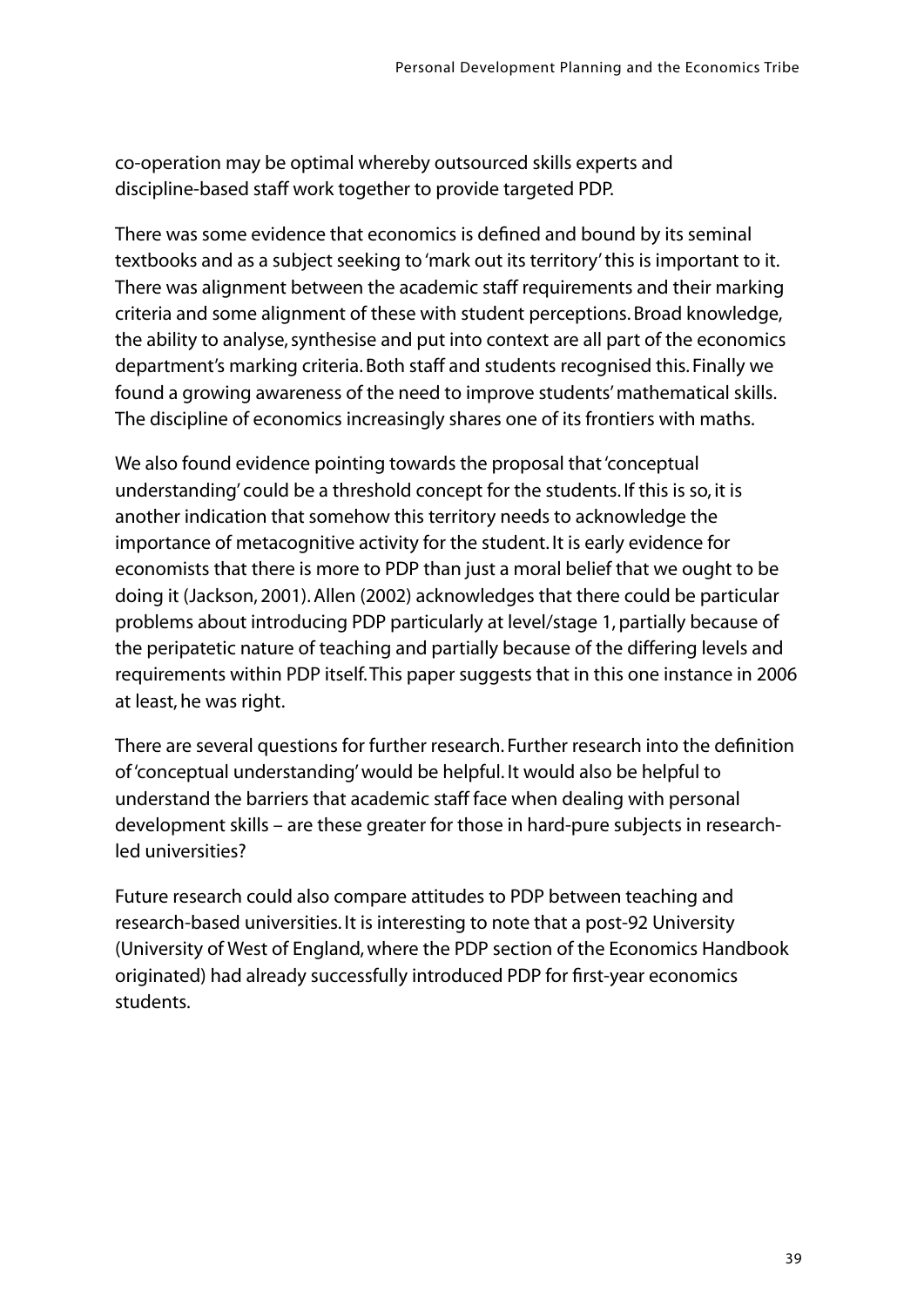co-operation may be optimal whereby outsourced skills experts and discipline-based staff work together to provide targeted PDP.

There was some evidence that economics is defined and bound by its seminal textbooks and as a subject seeking to 'mark out its territory' this is important to it. There was alignment between the academic staff requirements and their marking criteria and some alignment of these with student perceptions. Broad knowledge, the ability to analyse, synthesise and put into context are all part of the economics department's marking criteria. Both staff and students recognised this. Finally we found a growing awareness of the need to improve students' mathematical skills. The discipline of economics increasingly shares one of its frontiers with maths.

We also found evidence pointing towards the proposal that 'conceptual understanding' could be a threshold concept for the students. If this is so, it is another indication that somehow this territory needs to acknowledge the importance of metacognitive activity for the student. It is early evidence for economists that there is more to PDP than just a moral belief that we ought to be doing it (Jackson, 2001). Allen (2002) acknowledges that there could be particular problems about introducing PDP particularly at level/stage 1, partially because of the peripatetic nature of teaching and partially because of the differing levels and requirements within PDP itself.This paper suggests that in this one instance in 2006 at least, he was right.

There are several questions for further research. Further research into the definition of 'conceptual understanding' would be helpful. It would also be helpful to understand the barriers that academic staff face when dealing with personal development skills – are these greater for those in hard-pure subjects in researchled universities?

Future research could also compare attitudes to PDP between teaching and research-based universities. It is interesting to note that a post-92 University (University of West of England, where the PDP section of the Economics Handbook originated) had already successfully introduced PDP for first-year economics students.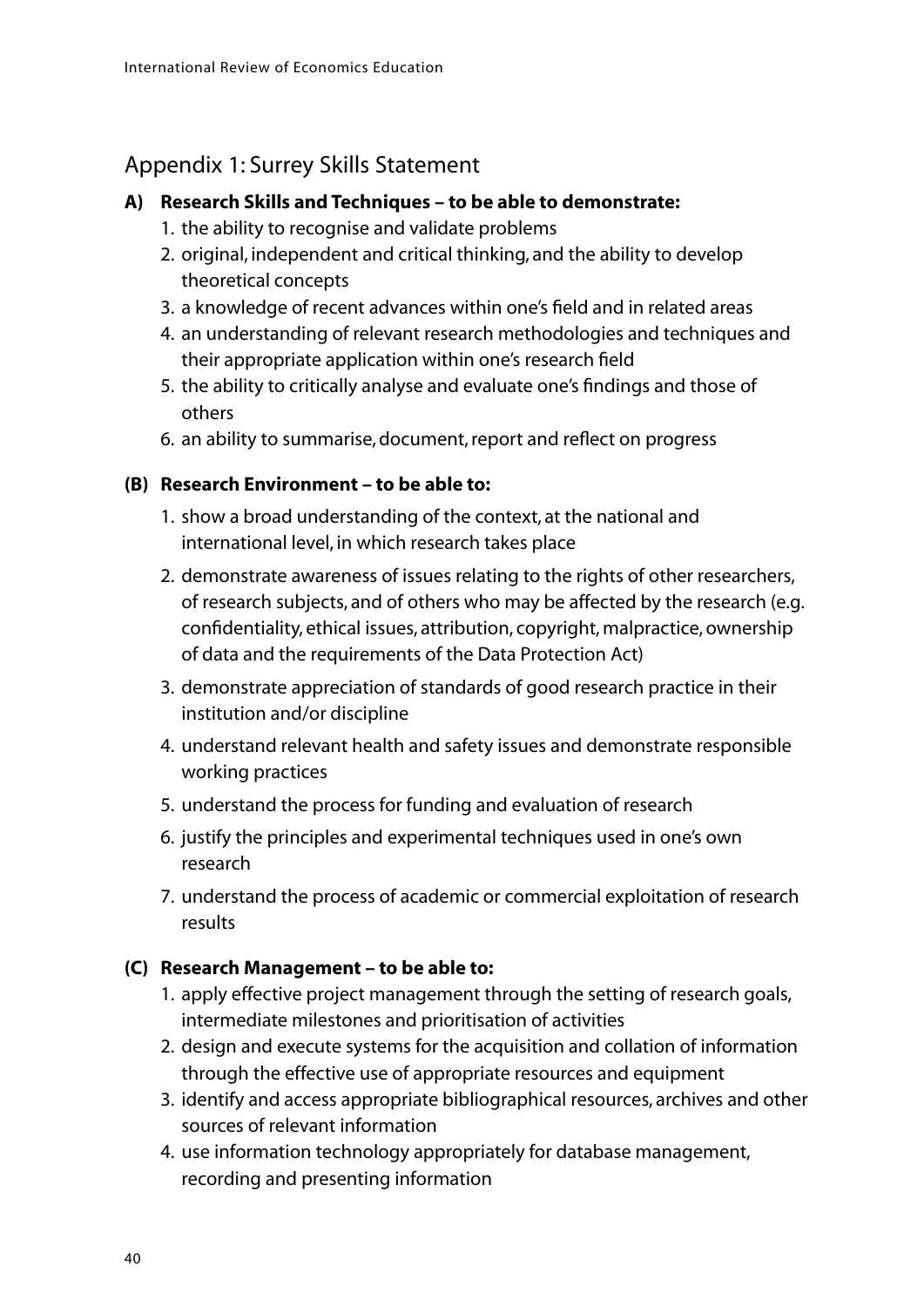# Appendix 1: Surrey Skills Statement

#### **A) Research Skills and Techniques – to be able to demonstrate:**

- 1. the ability to recognise and validate problems
- 2. original, independent and critical thinking, and the ability to develop theoretical concepts
- 3. a knowledge of recent advances within one's field and in related areas
- 4. an understanding of relevant research methodologies and techniques and their appropriate application within one's research field
- 5. the ability to critically analyse and evaluate one's findings and those of others
- 6. an ability to summarise, document, report and reflect on progress

#### **(B) Research Environment – to be able to:**

- 1. show a broad understanding of the context, at the national and international level, in which research takes place
- 2. demonstrate awareness of issues relating to the rights of other researchers, of research subjects, and of others who may be affected by the research (e.g. confidentiality, ethical issues, attribution, copyright, malpractice, ownership of data and the requirements of the Data Protection Act)
- 3. demonstrate appreciation of standards of good research practice in their institution and/or discipline
- 4. understand relevant health and safety issues and demonstrate responsible working practices
- 5. understand the process for funding and evaluation of research
- 6. justify the principles and experimental techniques used in one's own research
- 7. understand the process of academic or commercial exploitation of research results

#### **(C) Research Management – to be able to:**

- 1. apply effective project management through the setting of research goals, intermediate milestones and prioritisation of activities
- 2. design and execute systems for the acquisition and collation of information through the effective use of appropriate resources and equipment
- 3. identify and access appropriate bibliographical resources, archives and other sources of relevant information
- 4. use information technology appropriately for database management, recording and presenting information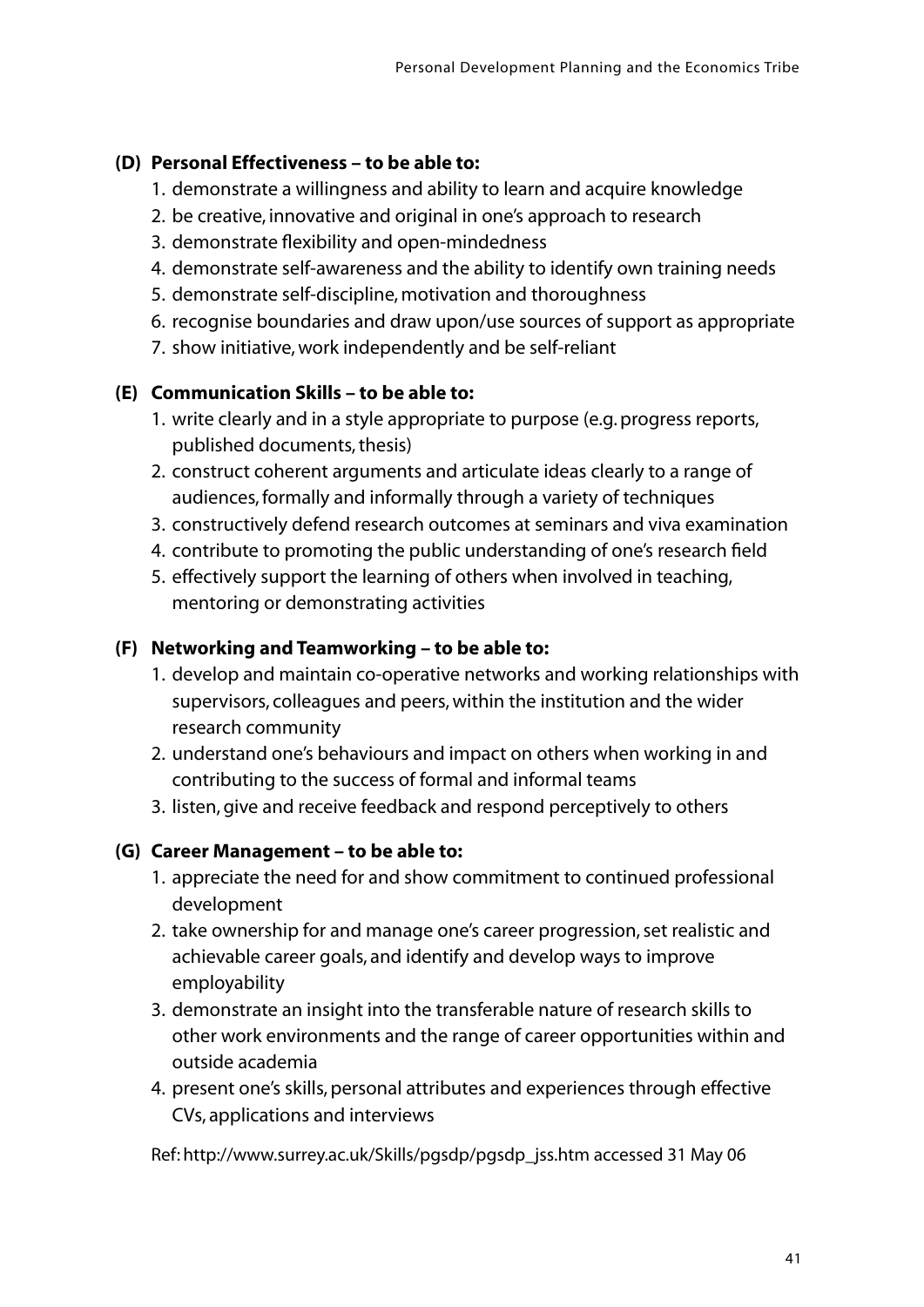#### **(D) Personal Effectiveness – to be able to:**

- 1. demonstrate a willingness and ability to learn and acquire knowledge
- 2. be creative, innovative and original in one's approach to research
- 3. demonstrate flexibility and open-mindedness
- 4. demonstrate self-awareness and the ability to identify own training needs
- 5. demonstrate self-discipline, motivation and thoroughness
- 6. recognise boundaries and draw upon/use sources of support as appropriate
- 7. show initiative, work independently and be self-reliant

#### **(E) Communication Skills – to be able to:**

- 1. write clearly and in a style appropriate to purpose (e.g. progress reports, published documents, thesis)
- 2. construct coherent arguments and articulate ideas clearly to a range of audiences, formally and informally through a variety of techniques
- 3. constructively defend research outcomes at seminars and viva examination
- 4. contribute to promoting the public understanding of one's research field
- 5. effectively support the learning of others when involved in teaching, mentoring or demonstrating activities

#### **(F) Networking and Teamworking – to be able to:**

- 1. develop and maintain co-operative networks and working relationships with supervisors, colleagues and peers, within the institution and the wider research community
- 2. understand one's behaviours and impact on others when working in and contributing to the success of formal and informal teams
- 3. listen, give and receive feedback and respond perceptively to others

#### **(G) Career Management – to be able to:**

- 1. appreciate the need for and show commitment to continued professional development
- 2. take ownership for and manage one's career progression, set realistic and achievable career goals, and identify and develop ways to improve employability
- 3. demonstrate an insight into the transferable nature of research skills to other work environments and the range of career opportunities within and outside academia
- 4. present one's skills, personal attributes and experiences through effective CVs, applications and interviews

Ref: http://www.surrey.ac.uk/Skills/pgsdp/pgsdp\_jss.htm accessed 31 May 06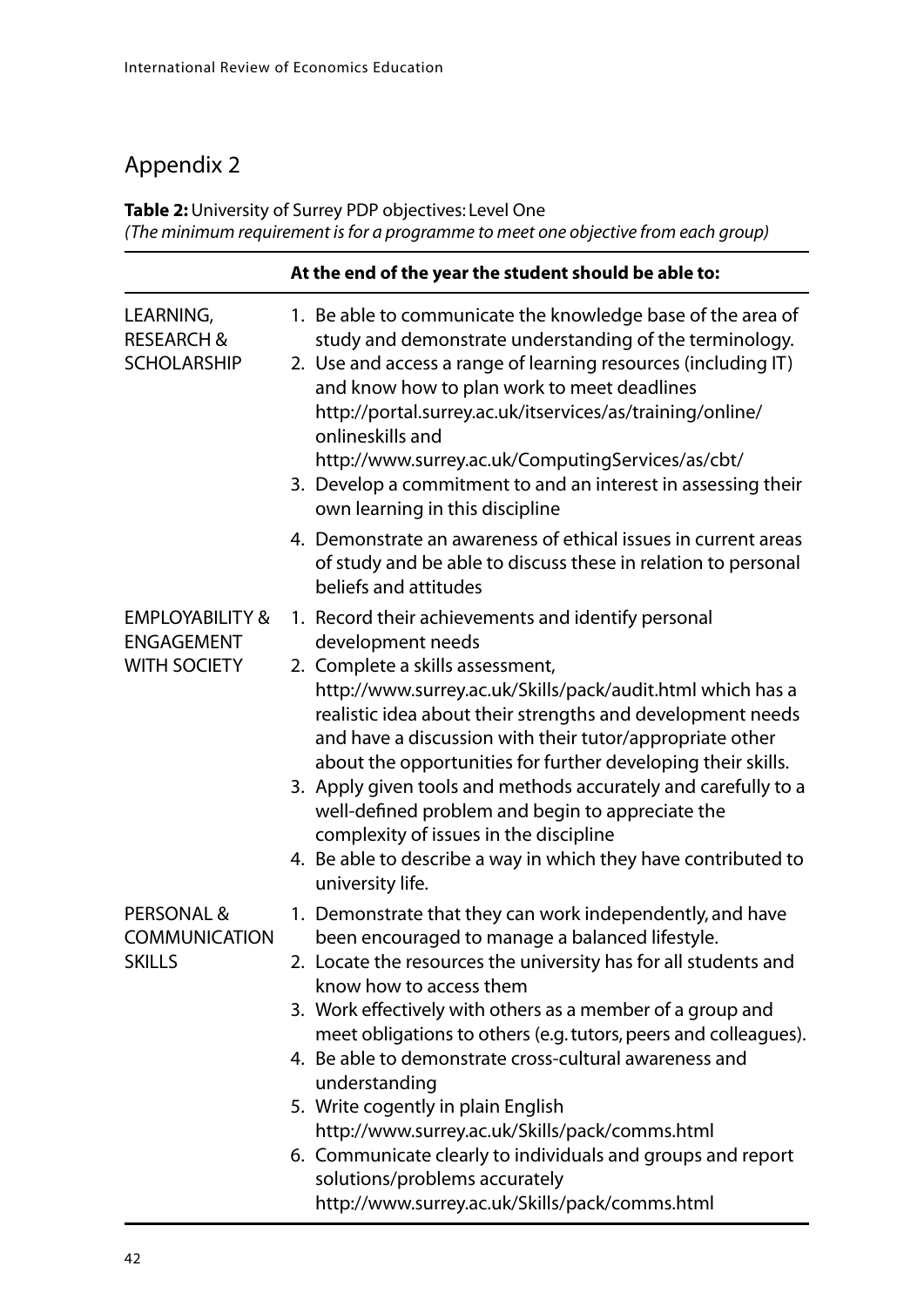# Appendix 2

**Table 2:**University of Surrey PDP objectives: Level One *(The minimum requirement is for a programme to meet one objective from each group)*

|                                                                        | At the end of the year the student should be able to:                                                                                                                                                                                                                                                                                                                                                                                                                                                                                                                                                                                                            |
|------------------------------------------------------------------------|------------------------------------------------------------------------------------------------------------------------------------------------------------------------------------------------------------------------------------------------------------------------------------------------------------------------------------------------------------------------------------------------------------------------------------------------------------------------------------------------------------------------------------------------------------------------------------------------------------------------------------------------------------------|
| LEARNING,<br><b>RESEARCH &amp;</b><br><b>SCHOLARSHIP</b>               | 1. Be able to communicate the knowledge base of the area of<br>study and demonstrate understanding of the terminology.<br>2. Use and access a range of learning resources (including IT)<br>and know how to plan work to meet deadlines<br>http://portal.surrey.ac.uk/itservices/as/training/online/<br>onlineskills and<br>http://www.surrey.ac.uk/ComputingServices/as/cbt/<br>3. Develop a commitment to and an interest in assessing their<br>own learning in this discipline                                                                                                                                                                                |
|                                                                        | 4. Demonstrate an awareness of ethical issues in current areas<br>of study and be able to discuss these in relation to personal<br>beliefs and attitudes                                                                                                                                                                                                                                                                                                                                                                                                                                                                                                         |
| <b>EMPLOYABILITY &amp;</b><br><b>ENGAGEMENT</b><br><b>WITH SOCIETY</b> | 1. Record their achievements and identify personal<br>development needs<br>2. Complete a skills assessment,<br>http://www.surrey.ac.uk/Skills/pack/audit.html which has a<br>realistic idea about their strengths and development needs<br>and have a discussion with their tutor/appropriate other<br>about the opportunities for further developing their skills.<br>3. Apply given tools and methods accurately and carefully to a<br>well-defined problem and begin to appreciate the<br>complexity of issues in the discipline<br>4. Be able to describe a way in which they have contributed to<br>university life.                                        |
| PERSONAL &<br>COMMUNICATION<br><b>SKILLS</b>                           | 1. Demonstrate that they can work independently, and have<br>been encouraged to manage a balanced lifestyle.<br>2. Locate the resources the university has for all students and<br>know how to access them<br>3. Work effectively with others as a member of a group and<br>meet obligations to others (e.g. tutors, peers and colleagues).<br>4. Be able to demonstrate cross-cultural awareness and<br>understanding<br>5. Write cogently in plain English<br>http://www.surrey.ac.uk/Skills/pack/comms.html<br>6. Communicate clearly to individuals and groups and report<br>solutions/problems accurately<br>http://www.surrey.ac.uk/Skills/pack/comms.html |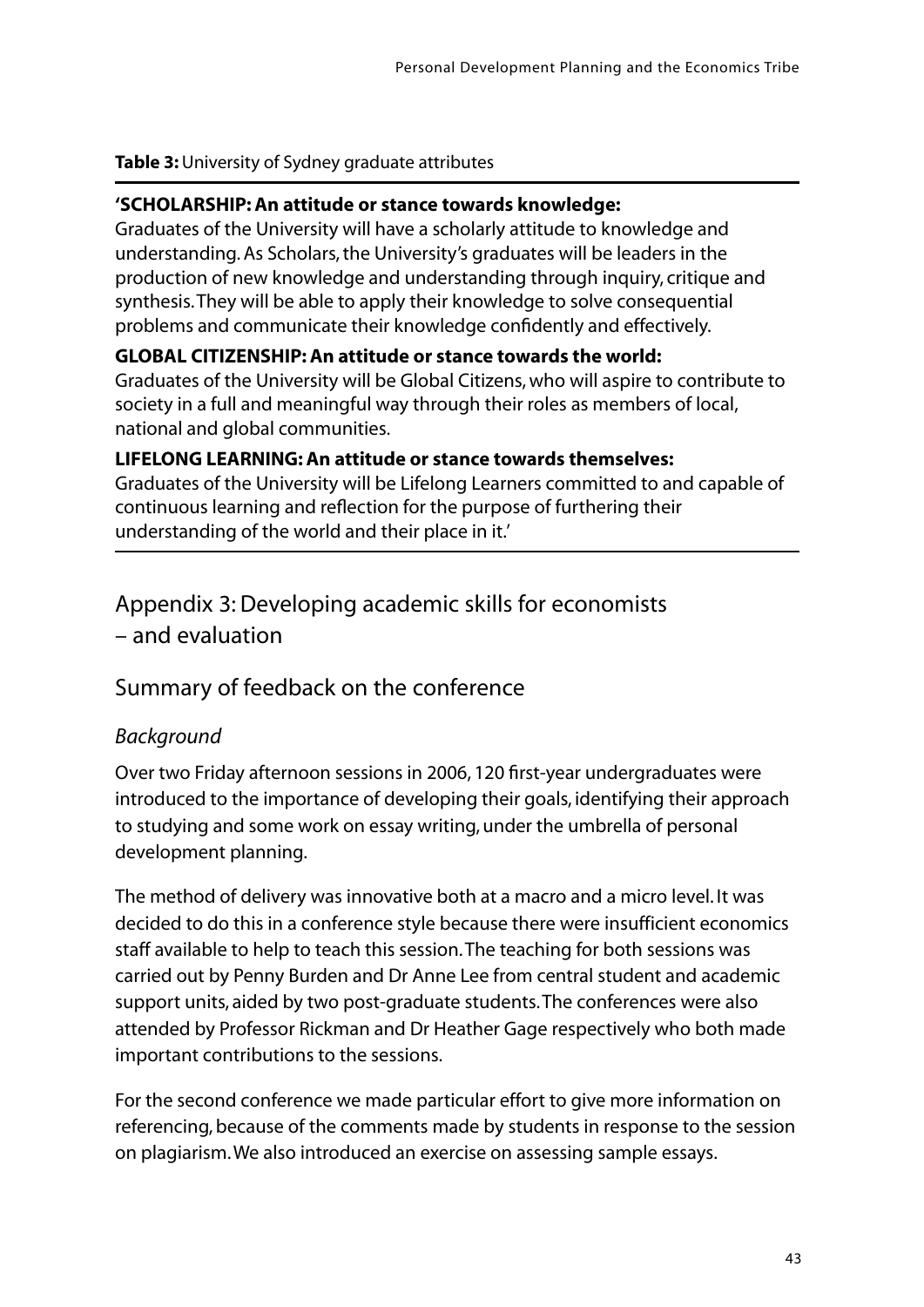#### **Table 3:**University of Sydney graduate attributes

#### **'SCHOLARSHIP: An attitude or stance towards knowledge:**

Graduates of the University will have a scholarly attitude to knowledge and understanding. As Scholars, the University's graduates will be leaders in the production of new knowledge and understanding through inquiry, critique and synthesis.They will be able to apply their knowledge to solve consequential problems and communicate their knowledge confidently and effectively.

#### **GLOBAL CITIZENSHIP: An attitude or stance towards the world:**

Graduates of the University will be Global Citizens, who will aspire to contribute to society in a full and meaningful way through their roles as members of local, national and global communities.

#### **LIFELONG LEARNING: An attitude or stance towards themselves:**

Graduates of the University will be Lifelong Learners committed to and capable of continuous learning and reflection for the purpose of furthering their understanding of the world and their place in it.'

# Appendix 3: Developing academic skills for economists – and evaluation

#### Summary of feedback on the conference

#### *Background*

Over two Friday afternoon sessions in 2006, 120 first-year undergraduates were introduced to the importance of developing their goals, identifying their approach to studying and some work on essay writing, under the umbrella of personal development planning.

The method of delivery was innovative both at a macro and a micro level. It was decided to do this in a conference style because there were insufficient economics staff available to help to teach this session.The teaching for both sessions was carried out by Penny Burden and Dr Anne Lee from central student and academic support units, aided by two post-graduate students.The conferences were also attended by Professor Rickman and Dr Heather Gage respectively who both made important contributions to the sessions.

For the second conference we made particular effort to give more information on referencing, because of the comments made by students in response to the session on plagiarism.We also introduced an exercise on assessing sample essays.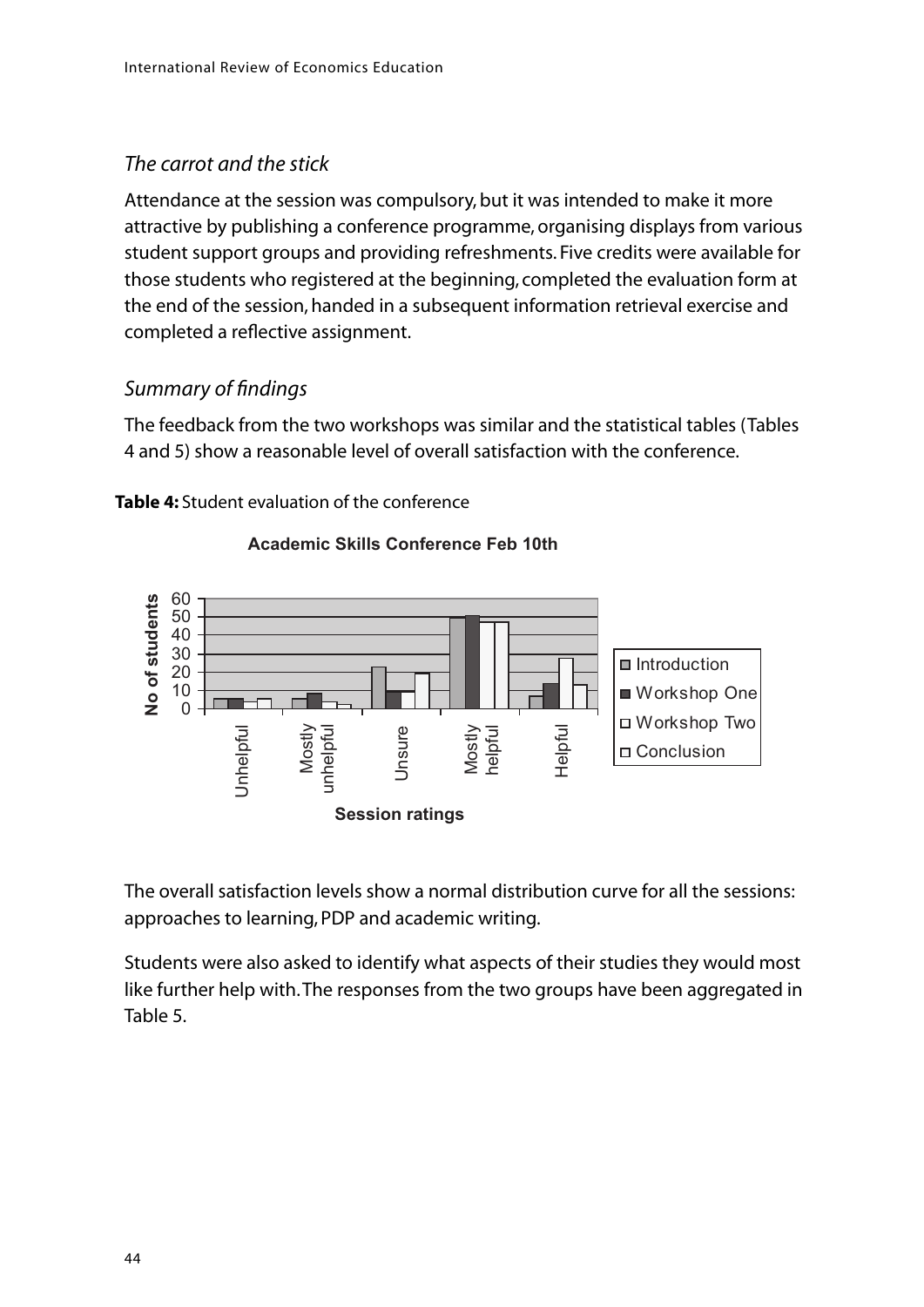#### *The carrot and the stick*

Attendance at the session was compulsory, but it was intended to make it more attractive by publishing a conference programme, organising displays from various student support groups and providing refreshments. Five credits were available for those students who registered at the beginning, completed the evaluation form at the end of the session, handed in a subsequent information retrieval exercise and completed a reflective assignment.

## *Summary of findings*

The feedback from the two workshops was similar and the statistical tables (Tables 4 and 5) show a reasonable level of overall satisfaction with the conference.

**Table 4:** Student evaluation of the conference



**Academic Skills Conference Feb 10th**

The overall satisfaction levels show a normal distribution curve for all the sessions: approaches to learning, PDP and academic writing.

Students were also asked to identify what aspects of their studies they would most like further help with.The responses from the two groups have been aggregated in Table 5.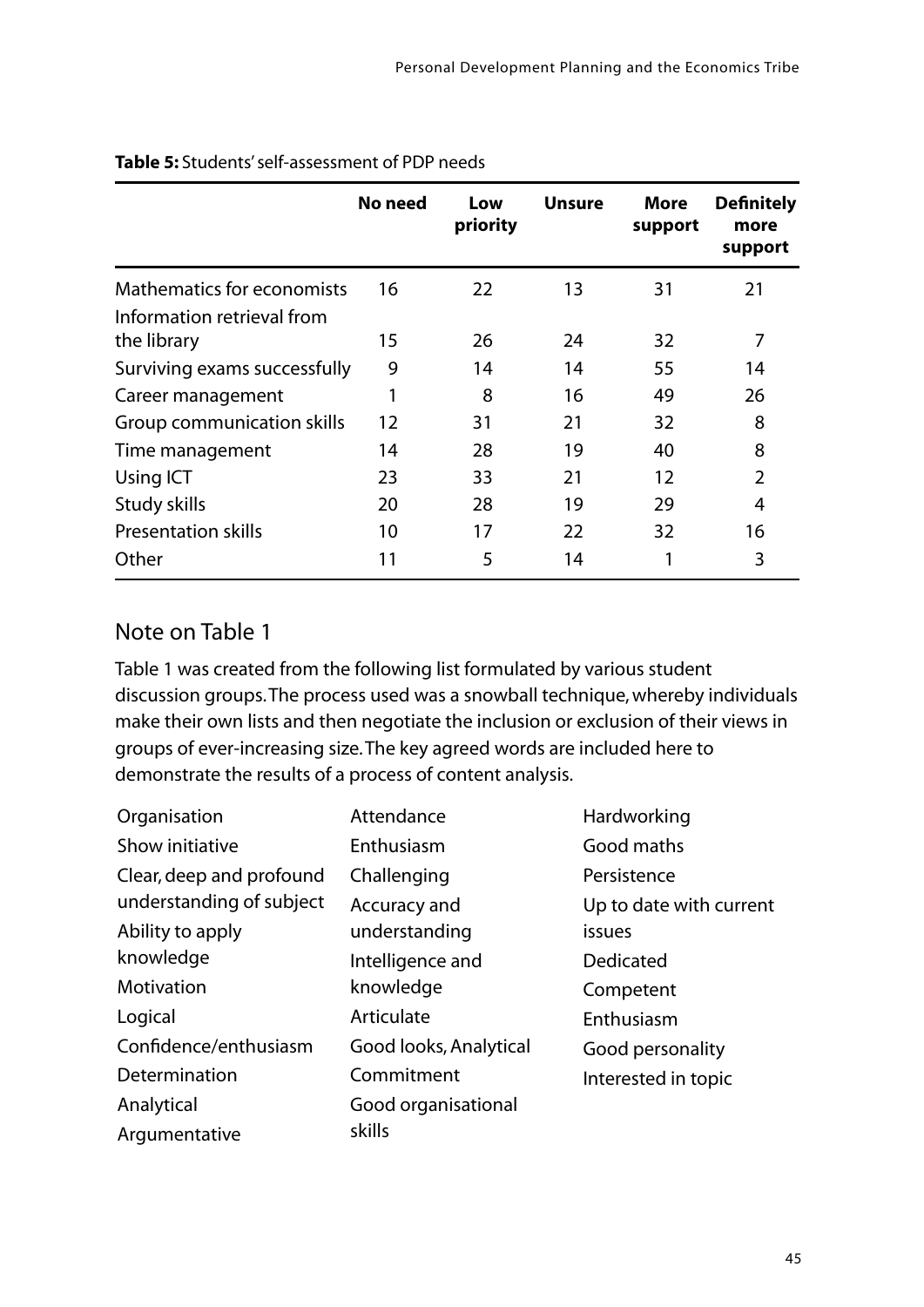|                                                          | No need | Low<br>priority | <b>Unsure</b> | More<br>support | <b>Definitely</b><br>more<br>support |
|----------------------------------------------------------|---------|-----------------|---------------|-----------------|--------------------------------------|
| Mathematics for economists<br>Information retrieval from | 16      | 22              | 13            | 31              | 21                                   |
| the library                                              | 15      | 26              | 24            | 32              | 7                                    |
| Surviving exams successfully                             | 9       | 14              | 14            | 55              | 14                                   |
| Career management                                        | 1       | 8               | 16            | 49              | 26                                   |
| Group communication skills                               | 12      | 31              | 21            | 32              | 8                                    |
| Time management                                          | 14      | 28              | 19            | 40              | 8                                    |
| Using ICT                                                | 23      | 33              | 21            | 12              | 2                                    |
| Study skills                                             | 20      | 28              | 19            | 29              | 4                                    |
| <b>Presentation skills</b>                               | 10      | 17              | 22            | 32              | 16                                   |
| Other                                                    | 11      | 5               | 14            |                 | 3                                    |

**Table 5:** Students' self-assessment of PDP needs

# Note on Table 1

Table 1 was created from the following list formulated by various student discussion groups.The process used was a snowball technique, whereby individuals make their own lists and then negotiate the inclusion or exclusion of their views in groups of ever-increasing size.The key agreed words are included here to demonstrate the results of a process of content analysis.

| Organisation             | Attendance             | Hardworking             |
|--------------------------|------------------------|-------------------------|
| Show initiative          | Enthusiasm             | Good maths              |
| Clear, deep and profound | Challenging            | Persistence             |
| understanding of subject | Accuracy and           | Up to date with current |
| Ability to apply         | understanding          | issues                  |
| knowledge                | Intelligence and       | Dedicated               |
| Motivation               | knowledge              | Competent               |
| Logical                  | Articulate             | Enthusiasm              |
| Confidence/enthusiasm    | Good looks, Analytical | Good personality        |
| Determination            | Commitment             | Interested in topic     |
| Analytical               | Good organisational    |                         |
| Argumentative            | skills                 |                         |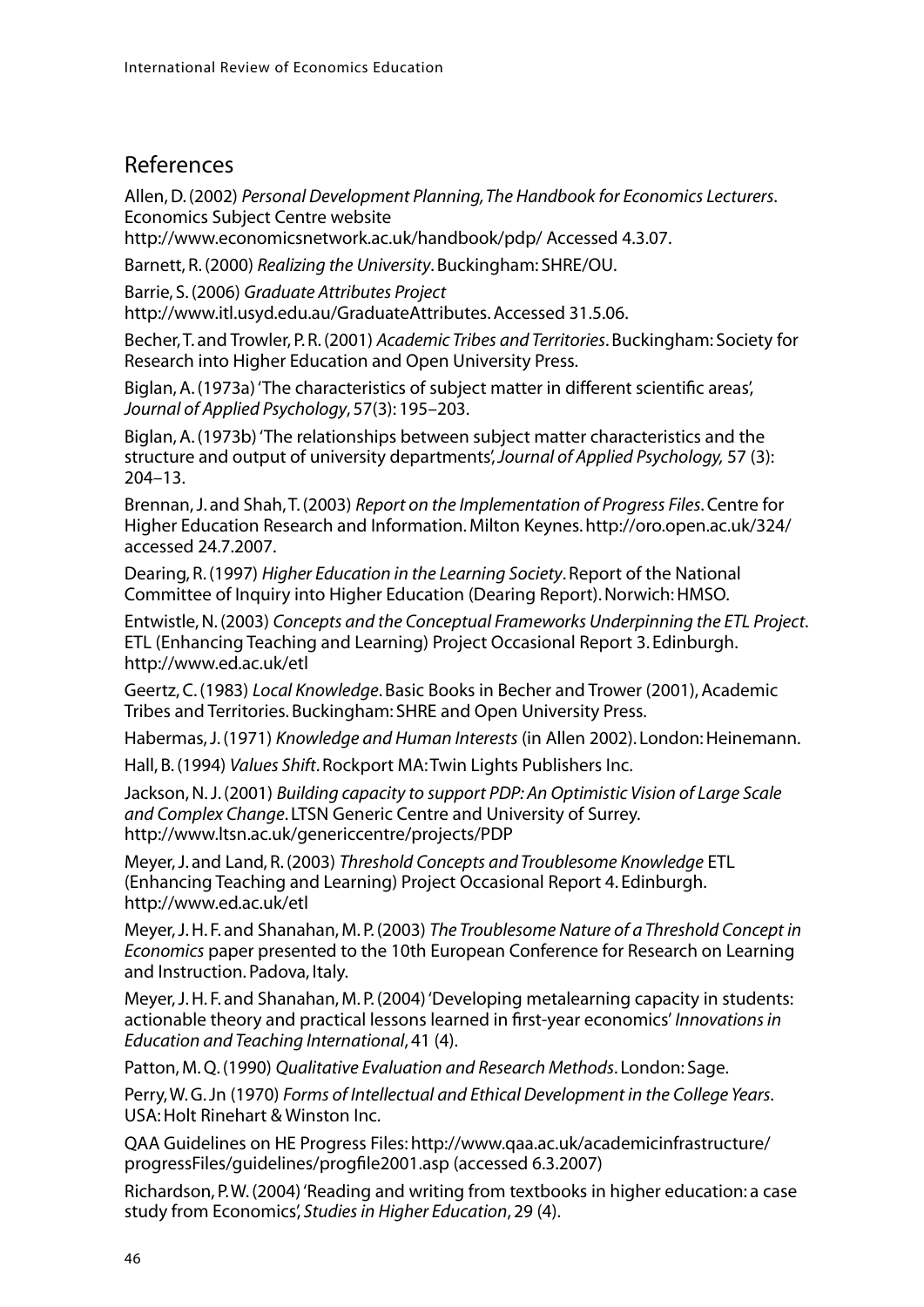## References

Allen, D. (2002) *Personal Development Planning,The Handbook for Economics Lecturers*. Economics Subject Centre website

http://www.economicsnetwork.ac.uk/handbook/pdp/ Accessed 4.3.07.

Barnett, R. (2000) *Realizing the University*. Buckingham: SHRE/OU.

Barrie, S. (2006) *Graduate Attributes Project* http://www.itl.usyd.edu.au/GraduateAttributes. Accessed 31.5.06.

Becher,T. and Trowler, P. R. (2001) *Academic Tribes and Territories*. Buckingham: Society for Research into Higher Education and Open University Press.

Biglan, A. (1973a) 'The characteristics of subject matter in different scientific areas', *Journal of Applied Psychology*, 57(3): 195–203.

Biglan, A. (1973b) 'The relationships between subject matter characteristics and the structure and output of university departments',*Journal of Applied Psychology,* 57 (3): 204–13.

Brennan, J. and Shah,T. (2003) *Report on the Implementation of Progress Files*. Centre for Higher Education Research and Information. Milton Keynes. http://oro.open.ac.uk/324/ accessed 24.7.2007.

Dearing, R. (1997) *Higher Education in the Learning Society*. Report of the National Committee of Inquiry into Higher Education (Dearing Report). Norwich: HMSO.

Entwistle, N. (2003) *Concepts and the Conceptual Frameworks Underpinning the ETL Project*. ETL (Enhancing Teaching and Learning) Project Occasional Report 3. Edinburgh. http://www.ed.ac.uk/etl

Geertz, C. (1983) *Local Knowledge*. Basic Books in Becher and Trower (2001), Academic Tribes and Territories. Buckingham: SHRE and Open University Press.

Habermas, J. (1971) *Knowledge and Human Interests* (in Allen 2002). London: Heinemann.

Hall, B. (1994) *Values Shift*. Rockport MA:Twin Lights Publishers Inc.

Jackson, N. J. (2001) *Building capacity to support PDP: An Optimistic Vision of Large Scale and Complex Change*. LTSN Generic Centre and University of Surrey. http://www.ltsn.ac.uk/genericcentre/projects/PDP

Meyer, J. and Land, R. (2003) *Threshold Concepts and Troublesome Knowledge* ETL (Enhancing Teaching and Learning) Project Occasional Report 4. Edinburgh. http://www.ed.ac.uk/etl

Meyer, J. H. F. and Shanahan, M. P. (2003) *The Troublesome Nature of a Threshold Concept in Economics* paper presented to the 10th European Conference for Research on Learning and Instruction. Padova, Italy.

Meyer, J. H. F. and Shanahan, M. P. (2004) 'Developing metalearning capacity in students: actionable theory and practical lessons learned in first-year economics' *Innovations in Education and Teaching International*, 41 (4).

Patton, M. Q. (1990) *Qualitative Evaluation and Research Methods*. London: Sage.

Perry, W. G. Jn (1970) *Forms of Intellectual and Ethical Development in the College Years*. USA:Holt Rinehart & Winston Inc.

QAA Guidelines on HE Progress Files: http://www.qaa.ac.uk/academicinfrastructure/ progressFiles/guidelines/progfile2001.asp (accessed 6.3.2007)

Richardson, P.W. (2004) 'Reading and writing from textbooks in higher education: a case study from Economics', *Studies in Higher Education*, 29 (4).